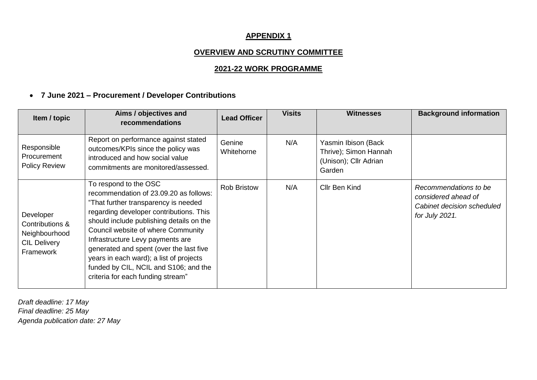#### **APPENDIX 1**

### **OVERVIEW AND SCRUTINY COMMITTEE**

### **2021-22 WORK PROGRAMME**

# **7 June 2021 – Procurement / Developer Contributions**

| Item / topic                                                                      | Aims / objectives and<br>recommendations                                                                                                                                                                                                                                                                                                                                                                                                     | <b>Lead Officer</b>  | <b>Visits</b> | <b>Witnesses</b>                                                                | <b>Background information</b>                                                                |
|-----------------------------------------------------------------------------------|----------------------------------------------------------------------------------------------------------------------------------------------------------------------------------------------------------------------------------------------------------------------------------------------------------------------------------------------------------------------------------------------------------------------------------------------|----------------------|---------------|---------------------------------------------------------------------------------|----------------------------------------------------------------------------------------------|
| Responsible<br>Procurement<br><b>Policy Review</b>                                | Report on performance against stated<br>outcomes/KPIs since the policy was<br>introduced and how social value<br>commitments are monitored/assessed.                                                                                                                                                                                                                                                                                         | Genine<br>Whitehorne | N/A           | Yasmin Ibison (Back<br>Thrive); Simon Hannah<br>(Unison); Cllr Adrian<br>Garden |                                                                                              |
| Developer<br>Contributions &<br>Neighbourhood<br><b>CIL Delivery</b><br>Framework | To respond to the OSC<br>recommendation of 23.09.20 as follows:<br>"That further transparency is needed<br>regarding developer contributions. This<br>should include publishing details on the<br>Council website of where Community<br>Infrastructure Levy payments are<br>generated and spent (over the last five<br>years in each ward); a list of projects<br>funded by CIL, NCIL and S106; and the<br>criteria for each funding stream" | <b>Rob Bristow</b>   | N/A           | Cllr Ben Kind                                                                   | Recommendations to be<br>considered ahead of<br>Cabinet decision scheduled<br>for July 2021. |

*Draft deadline: 17 May Final deadline: 25 May Agenda publication date: 27 May*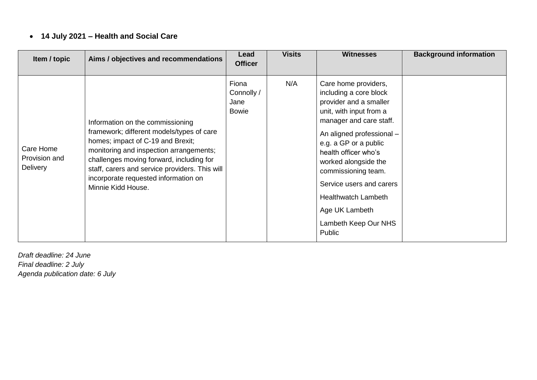# **14 July 2021 – Health and Social Care**

| Item / topic                                  | Aims / objectives and recommendations                                                                                                                                                                                                                                                                                     | Lead<br><b>Officer</b>                      | <b>Visits</b> | <b>Witnesses</b>                                                                                                                                                                                                                                                                                                                                                          | <b>Background information</b> |
|-----------------------------------------------|---------------------------------------------------------------------------------------------------------------------------------------------------------------------------------------------------------------------------------------------------------------------------------------------------------------------------|---------------------------------------------|---------------|---------------------------------------------------------------------------------------------------------------------------------------------------------------------------------------------------------------------------------------------------------------------------------------------------------------------------------------------------------------------------|-------------------------------|
| Care Home<br>Provision and<br><b>Delivery</b> | Information on the commissioning<br>framework; different models/types of care<br>homes; impact of C-19 and Brexit;<br>monitoring and inspection arrangements;<br>challenges moving forward, including for<br>staff, carers and service providers. This will<br>incorporate requested information on<br>Minnie Kidd House. | Fiona<br>Connolly /<br>Jane<br><b>Bowie</b> | N/A           | Care home providers,<br>including a core block<br>provider and a smaller<br>unit, with input from a<br>manager and care staff.<br>An aligned professional -<br>e.g. a GP or a public<br>health officer who's<br>worked alongside the<br>commissioning team.<br>Service users and carers<br><b>Healthwatch Lambeth</b><br>Age UK Lambeth<br>Lambeth Keep Our NHS<br>Public |                               |

*Draft deadline: 24 June Final deadline: 2 July Agenda publication date: 6 July*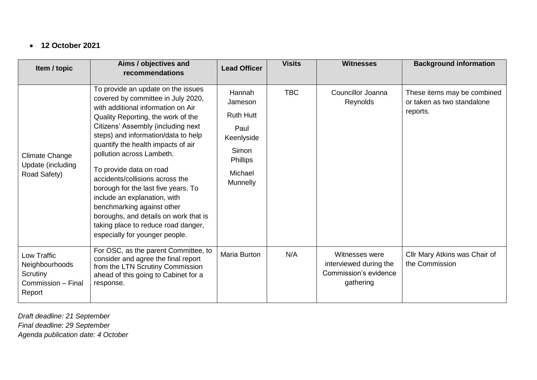#### **12 October 2021**

| Item / topic                                                              | Aims / objectives and<br>recommendations                                                                                                                                                                                                                                                                                                                                                                                                                                                                                                                                                  | <b>Lead Officer</b>                                                                                            | <b>Visits</b> | <b>Witnesses</b>                                                               | <b>Background information</b>                                         |
|---------------------------------------------------------------------------|-------------------------------------------------------------------------------------------------------------------------------------------------------------------------------------------------------------------------------------------------------------------------------------------------------------------------------------------------------------------------------------------------------------------------------------------------------------------------------------------------------------------------------------------------------------------------------------------|----------------------------------------------------------------------------------------------------------------|---------------|--------------------------------------------------------------------------------|-----------------------------------------------------------------------|
| <b>Climate Change</b><br>Update (including<br>Road Safety)                | To provide an update on the issues<br>covered by committee in July 2020,<br>with additional information on Air<br>Quality Reporting, the work of the<br>Citizens' Assembly (including next<br>steps) and information/data to help<br>quantify the health impacts of air<br>pollution across Lambeth.<br>To provide data on road<br>accidents/collisions across the<br>borough for the last five years. To<br>include an explanation, with<br>benchmarking against other<br>boroughs, and details on work that is<br>taking place to reduce road danger,<br>especially for younger people. | Hannah<br>Jameson<br><b>Ruth Hutt</b><br>Paul<br>Keenlyside<br>Simon<br><b>Phillips</b><br>Michael<br>Munnelly | <b>TBC</b>    | Councillor Joanna<br>Reynolds                                                  | These items may be combined<br>or taken as two standalone<br>reports. |
| Low Traffic<br>Neighbourhoods<br>Scrutiny<br>Commission - Final<br>Report | For OSC, as the parent Committee, to<br>consider and agree the final report<br>from the LTN Scrutiny Commission<br>ahead of this going to Cabinet for a<br>response.                                                                                                                                                                                                                                                                                                                                                                                                                      | Maria Burton                                                                                                   | N/A           | Witnesses were<br>interviewed during the<br>Commission's evidence<br>gathering | Cllr Mary Atkins was Chair of<br>the Commission                       |

*Draft deadline: 21 September Final deadline: 29 September Agenda publication date: 4 October*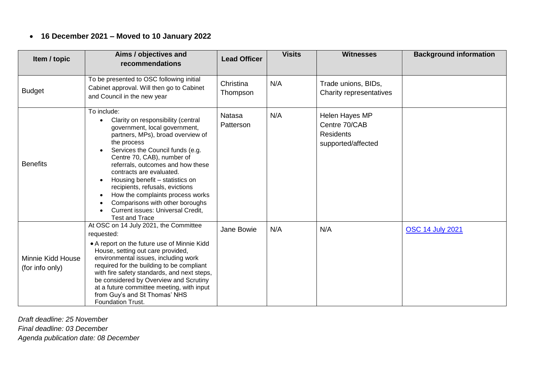# **16 December 2021 – Moved to 10 January 2022**

| Item / topic                         | Aims / objectives and<br>recommendations                                                                                                                                                                                                                                                                                                                                                                                                                                             | <b>Lead Officer</b>        | <b>Visits</b> | <b>Witnesses</b>                                                          | <b>Background information</b> |
|--------------------------------------|--------------------------------------------------------------------------------------------------------------------------------------------------------------------------------------------------------------------------------------------------------------------------------------------------------------------------------------------------------------------------------------------------------------------------------------------------------------------------------------|----------------------------|---------------|---------------------------------------------------------------------------|-------------------------------|
| <b>Budget</b>                        | To be presented to OSC following initial<br>Cabinet approval. Will then go to Cabinet<br>and Council in the new year                                                                                                                                                                                                                                                                                                                                                                 | Christina<br>Thompson      | N/A           | Trade unions, BIDs,<br>Charity representatives                            |                               |
| <b>Benefits</b>                      | To include:<br>Clarity on responsibility (central<br>government, local government,<br>partners, MPs), broad overview of<br>the process<br>Services the Council funds (e.g.<br>Centre 70, CAB), number of<br>referrals, outcomes and how these<br>contracts are evaluated.<br>Housing benefit - statistics on<br>recipients, refusals, evictions<br>How the complaints process works<br>Comparisons with other boroughs<br>Current issues: Universal Credit,<br><b>Test and Trace</b> | <b>Natasa</b><br>Patterson | N/A           | Helen Hayes MP<br>Centre 70/CAB<br><b>Residents</b><br>supported/affected |                               |
| Minnie Kidd House<br>(for info only) | At OSC on 14 July 2021, the Committee<br>requested:<br>• A report on the future use of Minnie Kidd<br>House, setting out care provided,<br>environmental issues, including work<br>required for the building to be compliant<br>with fire safety standards, and next steps,<br>be considered by Overview and Scrutiny<br>at a future committee meeting, with input<br>from Guy's and St Thomas' NHS<br><b>Foundation Trust.</b>                                                      | Jane Bowie                 | N/A           | N/A                                                                       | <b>OSC 14 July 2021</b>       |

*Draft deadline: 25 November Final deadline: 03 December*

*Agenda publication date: 08 December*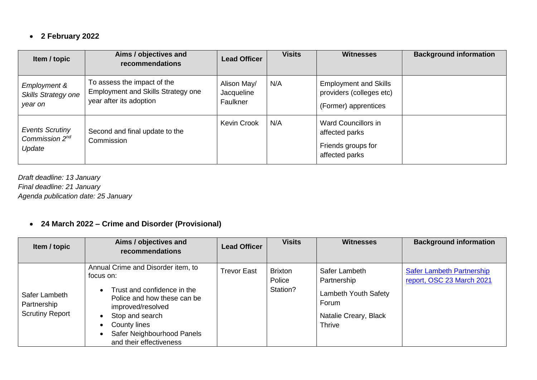# **2 February 2022**

| Item / topic                                                   | Aims / objectives and<br>recommendations                                                            | <b>Lead Officer</b>                   | <b>Visits</b> | <b>Witnesses</b>                                                                 | <b>Background information</b> |
|----------------------------------------------------------------|-----------------------------------------------------------------------------------------------------|---------------------------------------|---------------|----------------------------------------------------------------------------------|-------------------------------|
| Employment &<br>Skills Strategy one<br>year on                 | To assess the impact of the<br><b>Employment and Skills Strategy one</b><br>year after its adoption | Alison May/<br>Jacqueline<br>Faulkner | N/A           | <b>Employment and Skills</b><br>providers (colleges etc)<br>(Former) apprentices |                               |
| <b>Events Scrutiny</b><br>Commission 2 <sup>nd</sup><br>Update | Second and final update to the<br>Commission                                                        | <b>Kevin Crook</b>                    | N/A           | Ward Councillors in<br>affected parks<br>Friends groups for<br>affected parks    |                               |

*Draft deadline: 13 January Final deadline: 21 January Agenda publication date: 25 January*

### **24 March 2022 – Crime and Disorder (Provisional)**

| Item / topic                                           | Aims / objectives and<br>recommendations                                                                                                                                                                                                    | <b>Lead Officer</b> | <b>Visits</b>                        | <b>Witnesses</b>                                                                                        | <b>Background information</b>                                 |
|--------------------------------------------------------|---------------------------------------------------------------------------------------------------------------------------------------------------------------------------------------------------------------------------------------------|---------------------|--------------------------------------|---------------------------------------------------------------------------------------------------------|---------------------------------------------------------------|
| Safer Lambeth<br>Partnership<br><b>Scrutiny Report</b> | Annual Crime and Disorder item, to<br>focus on:<br>Trust and confidence in the<br>$\bullet$<br>Police and how these can be<br>improved/resolved<br>Stop and search<br>County lines<br>Safer Neighbourhood Panels<br>and their effectiveness | <b>Trevor East</b>  | <b>Brixton</b><br>Police<br>Station? | Safer Lambeth<br>Partnership<br><b>Lambeth Youth Safety</b><br>Forum<br>Natalie Creary, Black<br>Thrive | <b>Safer Lambeth Partnership</b><br>report, OSC 23 March 2021 |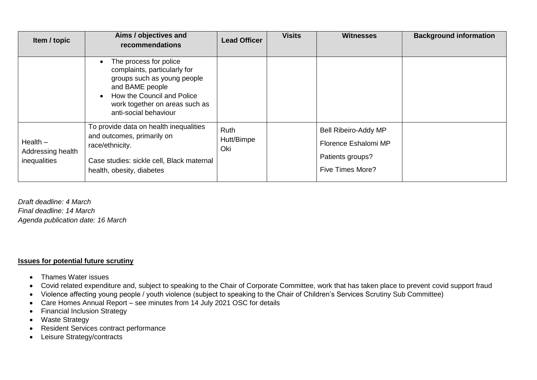| Item / topic                                    | Aims / objectives and<br>recommendations                                                                                                                                                          | <b>Lead Officer</b>       | <b>Visits</b> | <b>Witnesses</b>                                                                                   | <b>Background information</b> |
|-------------------------------------------------|---------------------------------------------------------------------------------------------------------------------------------------------------------------------------------------------------|---------------------------|---------------|----------------------------------------------------------------------------------------------------|-------------------------------|
|                                                 | The process for police<br>complaints, particularly for<br>groups such as young people<br>and BAME people<br>How the Council and Police<br>work together on areas such as<br>anti-social behaviour |                           |               |                                                                                                    |                               |
| $Health -$<br>Addressing health<br>inequalities | To provide data on health inequalities<br>and outcomes, primarily on<br>race/ethnicity.<br>Case studies: sickle cell, Black maternal<br>health, obesity, diabetes                                 | Ruth<br>Hutt/Bimpe<br>Oki |               | <b>Bell Ribeiro-Addy MP</b><br>Florence Eshalomi MP<br>Patients groups?<br><b>Five Times More?</b> |                               |

*Draft deadline: 4 March Final deadline: 14 March Agenda publication date: 16 March*

#### **Issues for potential future scrutiny**

- Thames Water issues
- Covid related expenditure and, subject to speaking to the Chair of Corporate Committee, work that has taken place to prevent covid support fraud
- Violence affecting young people / youth violence (subject to speaking to the Chair of Children's Services Scrutiny Sub Committee)
- Care Homes Annual Report see minutes from 14 July 2021 OSC for details
- Financial Inclusion Strategy
- Waste Strategy
- Resident Services contract performance
- Leisure Strategy/contracts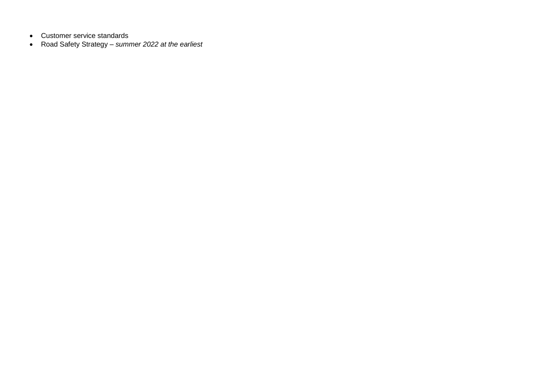- Customer service standards
- Road Safety Strategy *summer 2022 at the earliest*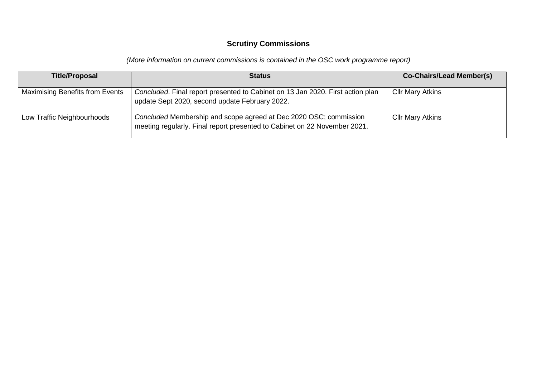### **Scrutiny Commissions**

*(More information on current commissions is contained in the OSC work programme report)* 

| <b>Title/Proposal</b>                  | <b>Status</b>                                                                                                                                  | <b>Co-Chairs/Lead Member(s)</b> |
|----------------------------------------|------------------------------------------------------------------------------------------------------------------------------------------------|---------------------------------|
| <b>Maximising Benefits from Events</b> | Concluded. Final report presented to Cabinet on 13 Jan 2020. First action plan<br>update Sept 2020, second update February 2022.               | <b>Cllr Mary Atkins</b>         |
| Low Traffic Neighbourhoods             | Concluded Membership and scope agreed at Dec 2020 OSC; commission<br>meeting regularly. Final report presented to Cabinet on 22 November 2021. | <b>Cllr Mary Atkins</b>         |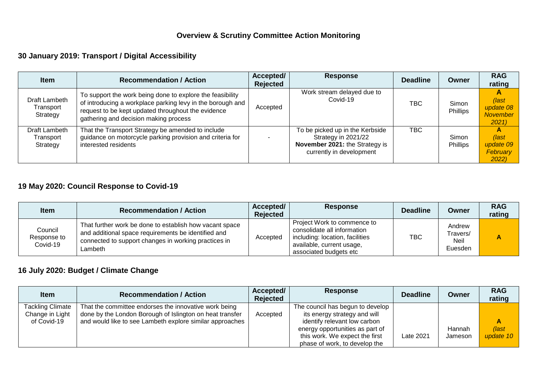# **Overview & Scrutiny Committee Action Monitoring**

# **30 January 2019: Transport / Digital Accessibility**

| <b>Item</b>                            | <b>Recommendation / Action</b>                                                                                                                                                                                         | Accepted/<br><b>Rejected</b> | <b>Response</b>                                                                                                      | <b>Deadline</b> | Owner                    | <b>RAG</b><br>rating                          |
|----------------------------------------|------------------------------------------------------------------------------------------------------------------------------------------------------------------------------------------------------------------------|------------------------------|----------------------------------------------------------------------------------------------------------------------|-----------------|--------------------------|-----------------------------------------------|
| Draft Lambeth<br>Transport<br>Strategy | To support the work being done to explore the feasibility<br>of introducing a workplace parking levy in the borough and<br>request to be kept updated throughout the evidence<br>gathering and decision making process | Accepted                     | Work stream delayed due to<br>Covid-19                                                                               | TBC             | Simon<br><b>Phillips</b> | (last<br>update 08<br><b>November</b><br>2021 |
| Draft Lambeth<br>Transport<br>Strategy | That the Transport Strategy be amended to include<br>guidance on motorcycle parking provision and criteria for<br>interested residents                                                                                 |                              | To be picked up in the Kerbside<br>Strategy in 2021/22<br>November 2021: the Strategy is<br>currently in development | TBC.            | Simon<br>Phillips        | (last<br>update 09<br>February<br>2022)       |

# **19 May 2020: Council Response to Covid-19**

| <b>Item</b>                        | <b>Recommendation / Action</b>                                                                                                                                                    | Accepted/<br><b>Rejected</b> | <b>Response</b>                                                                                                                                      | <b>Deadline</b> | Owner                                 | <b>RAG</b><br>rating |
|------------------------------------|-----------------------------------------------------------------------------------------------------------------------------------------------------------------------------------|------------------------------|------------------------------------------------------------------------------------------------------------------------------------------------------|-----------------|---------------------------------------|----------------------|
| Council<br>Response to<br>Covid-19 | That further work be done to establish how vacant space<br>and additional space requirements be identified and<br>connected to support changes in working practices in<br>Lambeth | Accepted                     | Project Work to commence to<br>consolidate all information<br>including: location, facilities<br>available, current usage,<br>associated budgets etc | TBC             | Andrew<br>Fravers/<br>Neil<br>Euesden | A                    |

# **16 July 2020: Budget / Climate Change**

| ltem                                                      | <b>Recommendation / Action</b>                                                                                                                                                | Accepted/<br><b>Rejected</b> | <b>Response</b>                                                                                                                                                                                        | <b>Deadline</b> | Owner             | <b>RAG</b><br>rating |
|-----------------------------------------------------------|-------------------------------------------------------------------------------------------------------------------------------------------------------------------------------|------------------------------|--------------------------------------------------------------------------------------------------------------------------------------------------------------------------------------------------------|-----------------|-------------------|----------------------|
| <b>Tackling Climate</b><br>Change in Light<br>of Covid-19 | That the committee endorses the innovative work being<br>done by the London Borough of Islington on heat transfer<br>and would like to see Lambeth explore similar approaches | Accepted                     | The council has begun to develop<br>its energy strategy and will<br>identify relevant low carbon<br>energy opportunities as part of<br>this work. We expect the first<br>phase of work, to develop the | Late 2021       | Hannah<br>Jameson | (last<br>update 10   |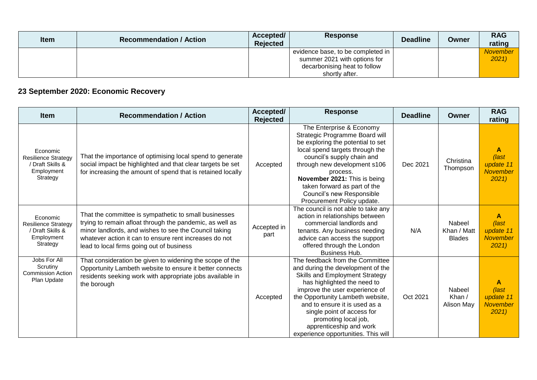| <b>Item</b> | <b>Recommendation / Action</b> | Accepted/<br><b>Rejected</b> | <b>Response</b>                   | <b>Deadline</b> | Owner | <b>RAG</b><br>rating |
|-------------|--------------------------------|------------------------------|-----------------------------------|-----------------|-------|----------------------|
|             |                                |                              | evidence base, to be completed in |                 |       | <b>November</b>      |
|             |                                |                              | summer 2021 with options for      |                 |       | 2021                 |
|             |                                |                              | decarbonising heat to follow      |                 |       |                      |
|             |                                |                              | shortly after.                    |                 |       |                      |

# **23 September 2020: Economic Recovery**

| <b>Item</b>                                                                          | <b>Recommendation / Action</b>                                                                                                                                                                                                                                                    | Accepted/<br><b>Rejected</b> | <b>Response</b>                                                                                                                                                                                                                                                                                                                                                             | <b>Deadline</b> | Owner                                  | <b>RAG</b><br>rating                               |
|--------------------------------------------------------------------------------------|-----------------------------------------------------------------------------------------------------------------------------------------------------------------------------------------------------------------------------------------------------------------------------------|------------------------------|-----------------------------------------------------------------------------------------------------------------------------------------------------------------------------------------------------------------------------------------------------------------------------------------------------------------------------------------------------------------------------|-----------------|----------------------------------------|----------------------------------------------------|
| Economic<br><b>Resilience Strategy</b><br>/ Draft Skills &<br>Employment<br>Strategy | That the importance of optimising local spend to generate<br>social impact be highlighted and that clear targets be set<br>for increasing the amount of spend that is retained locally                                                                                            | Accepted                     | The Enterprise & Economy<br>Strategic Programme Board will<br>be exploring the potential to set<br>local spend targets through the<br>council's supply chain and<br>through new development s106<br>process.<br>November 2021: This is being<br>taken forward as part of the<br>Council's new Responsible<br>Procurement Policy update.                                     | Dec 2021        | Christina<br>Thompson                  | A<br>(last<br>update 11<br><b>November</b><br>2021 |
| Economic<br><b>Resilience Strategy</b><br>Draft Skills &<br>Employment<br>Strategy   | That the committee is sympathetic to small businesses<br>trying to remain afloat through the pandemic, as well as<br>minor landlords, and wishes to see the Council taking<br>whatever action it can to ensure rent increases do not<br>lead to local firms going out of business | Accepted in<br>part          | The council is not able to take any<br>action in relationships between<br>commercial landlords and<br>tenants. Any business needing<br>advice can access the support<br>offered through the London<br><b>Business Hub.</b>                                                                                                                                                  | N/A             | Nabeel<br>Khan / Matt<br><b>Blades</b> | A<br>(last<br>update 11<br><b>November</b><br>2021 |
| Jobs For All<br>Scrutiny<br><b>Commission Action</b><br>Plan Update                  | That consideration be given to widening the scope of the<br>Opportunity Lambeth website to ensure it better connects<br>residents seeking work with appropriate jobs available in<br>the borough                                                                                  | Accepted                     | The feedback from the Committee<br>and during the development of the<br><b>Skills and Employment Strategy</b><br>has highlighted the need to<br>improve the user experience of<br>the Opportunity Lambeth website,<br>and to ensure it is used as a<br>single point of access for<br>promoting local job,<br>apprenticeship and work<br>experience opportunities. This will | Oct 2021        | Nabeel<br>Khan /<br>Alison May         | A<br>(last<br>update 11<br><b>November</b><br>2021 |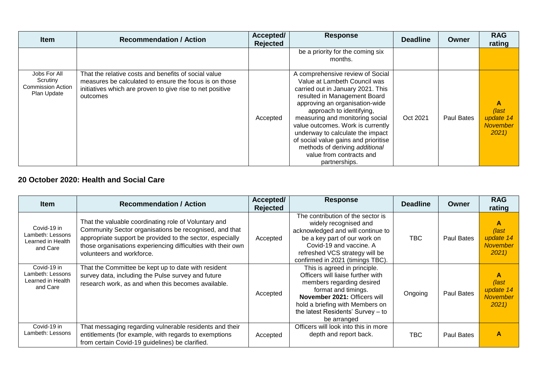| <b>Item</b>                                                         | <b>Recommendation / Action</b>                                                                                                                                                          | Accepted/<br><b>Rejected</b> | <b>Response</b>                                                                                                                                                                                                                                                                                                                                                                                                                        | <b>Deadline</b> | Owner             | <b>RAG</b><br>rating                                |
|---------------------------------------------------------------------|-----------------------------------------------------------------------------------------------------------------------------------------------------------------------------------------|------------------------------|----------------------------------------------------------------------------------------------------------------------------------------------------------------------------------------------------------------------------------------------------------------------------------------------------------------------------------------------------------------------------------------------------------------------------------------|-----------------|-------------------|-----------------------------------------------------|
|                                                                     |                                                                                                                                                                                         |                              | be a priority for the coming six<br>months.                                                                                                                                                                                                                                                                                                                                                                                            |                 |                   |                                                     |
| Jobs For All<br>Scrutiny<br><b>Commission Action</b><br>Plan Update | That the relative costs and benefits of social value<br>measures be calculated to ensure the focus is on those<br>initiatives which are proven to give rise to net positive<br>outcomes | Accepted                     | A comprehensive review of Social<br>Value at Lambeth Council was<br>carried out in January 2021. This<br>resulted in Management Board<br>approving an organisation-wide<br>approach to identifying,<br>measuring and monitoring social<br>value outcomes. Work is currently<br>underway to calculate the impact<br>of social value gains and prioritise<br>methods of deriving additional<br>value from contracts and<br>partnerships. | Oct 2021        | <b>Paul Bates</b> | A<br>$\sqrt{last}$<br>update 14<br>November<br>2021 |

### **20 October 2020: Health and Social Care**

| <b>Item</b>                                                      | <b>Recommendation / Action</b>                                                                                                                                                                                                                                           | Accepted/<br><b>Rejected</b> | <b>Response</b>                                                                                                                                                                                                                              | <b>Deadline</b> | Owner             | <b>RAG</b><br>rating                                    |
|------------------------------------------------------------------|--------------------------------------------------------------------------------------------------------------------------------------------------------------------------------------------------------------------------------------------------------------------------|------------------------------|----------------------------------------------------------------------------------------------------------------------------------------------------------------------------------------------------------------------------------------------|-----------------|-------------------|---------------------------------------------------------|
| Covid-19 in<br>Lambeth: Lessons<br>Learned in Health<br>and Care | That the valuable coordinating role of Voluntary and<br>Community Sector organisations be recognised, and that<br>appropriate support be provided to the sector, especially<br>those organisations experiencing difficulties with their own<br>volunteers and workforce. | Accepted                     | The contribution of the sector is<br>widely recognised and<br>acknowledged and will continue to<br>be a key part of our work on<br>Covid-19 and vaccine. A<br>refreshed VCS strategy will be<br>confirmed in 2021 (timings TBC).             | <b>TBC</b>      | Paul Bates        | A<br>$\int$ ast<br>update 14<br><b>November</b><br>2021 |
| Covid-19 in<br>Lambeth: Lessons<br>Learned in Health<br>and Care | That the Committee be kept up to date with resident<br>survey data, including the Pulse survey and future<br>research work, as and when this becomes available.                                                                                                          | Accepted                     | This is agreed in principle.<br>Officers will liaise further with<br>members regarding desired<br>format and timings.<br>November 2021: Officers will<br>hold a briefing with Members on<br>the latest Residents' Survey - to<br>be arranged | Ongoing         | <b>Paul Bates</b> | A<br>$\int$ ast<br>update 14<br><b>November</b><br>2021 |
| Covid-19 in<br>Lambeth: Lessons                                  | That messaging regarding vulnerable residents and their<br>entitlements (for example, with regards to exemptions<br>from certain Covid-19 guidelines) be clarified.                                                                                                      | Accepted                     | Officers will look into this in more<br>depth and report back.                                                                                                                                                                               | <b>TBC</b>      | Paul Bates        | A                                                       |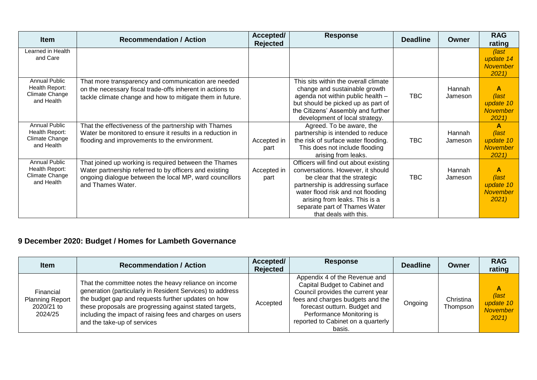| <b>Item</b>                                                            | <b>Recommendation / Action</b>                                                                                                                                                                  | Accepted/<br><b>Rejected</b> | <b>Response</b>                                                                                                                                                                                                                                                                | <b>Deadline</b> | Owner             | <b>RAG</b><br>rating                                          |
|------------------------------------------------------------------------|-------------------------------------------------------------------------------------------------------------------------------------------------------------------------------------------------|------------------------------|--------------------------------------------------------------------------------------------------------------------------------------------------------------------------------------------------------------------------------------------------------------------------------|-----------------|-------------------|---------------------------------------------------------------|
| Learned in Health<br>and Care                                          |                                                                                                                                                                                                 |                              |                                                                                                                                                                                                                                                                                |                 |                   | (last<br>update 14<br><b>November</b><br>2021                 |
| Annual Public<br>Health Report:<br>Climate Change<br>and Health        | That more transparency and communication are needed<br>on the necessary fiscal trade-offs inherent in actions to<br>tackle climate change and how to mitigate them in future.                   |                              | This sits within the overall climate<br>change and sustainable growth<br>agenda not within public health -<br>but should be picked up as part of<br>the Citizens' Assembly and further<br>development of local strategy.                                                       | <b>TBC</b>      | Hannah<br>Jameson | A<br>(last<br>update 10<br><b>November</b><br>2021            |
| <b>Annual Public</b><br>Health Report:<br>Climate Change<br>and Health | That the effectiveness of the partnership with Thames<br>Water be monitored to ensure it results in a reduction in<br>flooding and improvements to the environment.                             | Accepted in<br>part          | Agreed. To be aware, the<br>partnership is intended to reduce<br>the risk of surface water flooding.<br>This does not include flooding<br>arising from leaks.                                                                                                                  | <b>TBC</b>      | Hannah<br>Jameson | $\mathbf{A}$<br>(last<br>update 10<br><b>November</b><br>2021 |
| <b>Annual Public</b><br>Health Report:<br>Climate Change<br>and Health | That joined up working is required between the Thames<br>Water partnership referred to by officers and existing<br>ongoing dialogue between the local MP, ward councillors<br>and Thames Water. | Accepted in<br>part          | Officers will find out about existing<br>conversations. However, it should<br>be clear that the strategic<br>partnership is addressing surface<br>water flood risk and not flooding<br>arising from leaks. This is a<br>separate part of Thames Water<br>that deals with this. | <b>TBC</b>      | Hannah<br>Jameson | A<br>(last<br>update 10<br><b>November</b><br>2021            |

# **9 December 2020: Budget / Homes for Lambeth Governance**

| <b>Item</b>                                                  | <b>Recommendation / Action</b>                                                                                                                                                                                                                                                                                                  | Accepted/<br>Rejected | <b>Response</b>                                                                                                                                                                                                                                      | <b>Deadline</b> | Owner                 | <b>RAG</b><br>rating                               |
|--------------------------------------------------------------|---------------------------------------------------------------------------------------------------------------------------------------------------------------------------------------------------------------------------------------------------------------------------------------------------------------------------------|-----------------------|------------------------------------------------------------------------------------------------------------------------------------------------------------------------------------------------------------------------------------------------------|-----------------|-----------------------|----------------------------------------------------|
| Financial<br><b>Planning Report</b><br>2020/21 to<br>2024/25 | That the committee notes the heavy reliance on income<br>generation (particularly in Resident Services) to address<br>the budget gap and requests further updates on how<br>these proposals are progressing against stated targets,<br>including the impact of raising fees and charges on users<br>and the take-up of services | Accepted              | Appendix 4 of the Revenue and<br>Capital Budget to Cabinet and<br>Council provides the current year<br>fees and charges budgets and the<br>forecast outturn. Budget and<br>Performance Monitoring is<br>reported to Cabinet on a quarterly<br>basis. | Ongoing         | Christina<br>Thompson | А<br>(last<br>update 10<br><b>November</b><br>2021 |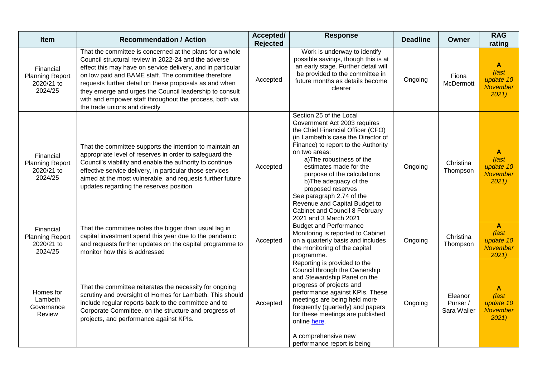| Item                                                         | <b>Recommendation / Action</b>                                                                                                                                                                                                                                                                                                                                                                                                                          | Accepted/<br><b>Rejected</b> | <b>Response</b>                                                                                                                                                                                                                                                                                                                                                                                                                                        | <b>Deadline</b> | <b>Owner</b>                       | <b>RAG</b><br>rating                                                   |
|--------------------------------------------------------------|---------------------------------------------------------------------------------------------------------------------------------------------------------------------------------------------------------------------------------------------------------------------------------------------------------------------------------------------------------------------------------------------------------------------------------------------------------|------------------------------|--------------------------------------------------------------------------------------------------------------------------------------------------------------------------------------------------------------------------------------------------------------------------------------------------------------------------------------------------------------------------------------------------------------------------------------------------------|-----------------|------------------------------------|------------------------------------------------------------------------|
| Financial<br><b>Planning Report</b><br>2020/21 to<br>2024/25 | That the committee is concerned at the plans for a whole<br>Council structural review in 2022-24 and the adverse<br>effect this may have on service delivery, and in particular<br>on low paid and BAME staff. The committee therefore<br>requests further detail on these proposals as and when<br>they emerge and urges the Council leadership to consult<br>with and empower staff throughout the process, both via<br>the trade unions and directly | Accepted                     | Work is underway to identify<br>possible savings, though this is at<br>an early stage. Further detail will<br>be provided to the committee in<br>future months as details become<br>clearer                                                                                                                                                                                                                                                            | Ongoing         | Fiona<br>McDermott                 | A<br>(last<br>update 10<br><b>November</b><br>2021                     |
| Financial<br><b>Planning Report</b><br>2020/21 to<br>2024/25 | That the committee supports the intention to maintain an<br>appropriate level of reserves in order to safeguard the<br>Council's viability and enable the authority to continue<br>effective service delivery, in particular those services<br>aimed at the most vulnerable, and requests further future<br>updates regarding the reserves position                                                                                                     | Accepted                     | Section 25 of the Local<br>Government Act 2003 requires<br>the Chief Financial Officer (CFO)<br>(in Lambeth's case the Director of<br>Finance) to report to the Authority<br>on two areas:<br>a)The robustness of the<br>estimates made for the<br>purpose of the calculations<br>b) The adequacy of the<br>proposed reserves<br>See paragraph 2.74 of the<br>Revenue and Capital Budget to<br>Cabinet and Council 8 February<br>2021 and 3 March 2021 | Ongoing         | Christina<br>Thompson              | $\mathbf{A}$<br>(last<br>update 10<br><b>November</b><br>2021          |
| Financial<br><b>Planning Report</b><br>2020/21 to<br>2024/25 | That the committee notes the bigger than usual lag in<br>capital investment spend this year due to the pandemic<br>and requests further updates on the capital programme to<br>monitor how this is addressed                                                                                                                                                                                                                                            | Accepted                     | <b>Budget and Performance</b><br>Monitoring is reported to Cabinet<br>on a quarterly basis and includes<br>the monitoring of the capital<br>programme.                                                                                                                                                                                                                                                                                                 | Ongoing         | Christina<br>Thompson              | $\mathbf{A}$<br>$\sqrt{last}$<br>update 10<br><b>November</b><br>2021) |
| Homes for<br>Lambeth<br>Governance<br>Review                 | That the committee reiterates the necessity for ongoing<br>scrutiny and oversight of Homes for Lambeth. This should<br>include regular reports back to the committee and to<br>Corporate Committee, on the structure and progress of<br>projects, and performance against KPIs.                                                                                                                                                                         | Accepted                     | Reporting is provided to the<br>Council through the Ownership<br>and Stewardship Panel on the<br>progress of projects and<br>performance against KPIs. These<br>meetings are being held more<br>frequently (quarterly) and papers<br>for these meetings are published<br>online here.<br>A comprehensive new<br>performance report is being                                                                                                            | Ongoing         | Eleanor<br>Purser /<br>Sara Waller | A<br>(last<br>update 10<br><b>November</b><br>2021                     |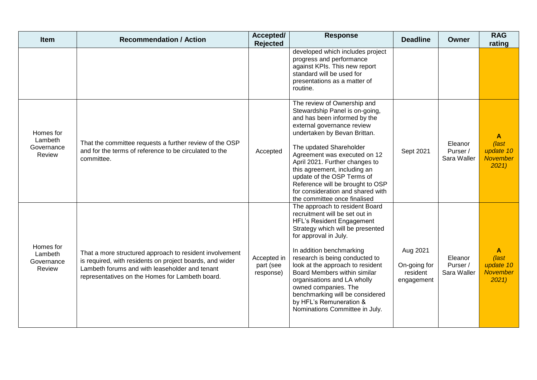| <b>Item</b>                                  | <b>Recommendation / Action</b>                                                                                                                                                                                           | Accepted/<br><b>Rejected</b>          | <b>Response</b>                                                                                                                                                                                                                                                                                                                                                                                                                                     | <b>Deadline</b>                                    | Owner                              | <b>RAG</b><br>rating                                       |
|----------------------------------------------|--------------------------------------------------------------------------------------------------------------------------------------------------------------------------------------------------------------------------|---------------------------------------|-----------------------------------------------------------------------------------------------------------------------------------------------------------------------------------------------------------------------------------------------------------------------------------------------------------------------------------------------------------------------------------------------------------------------------------------------------|----------------------------------------------------|------------------------------------|------------------------------------------------------------|
|                                              |                                                                                                                                                                                                                          |                                       | developed which includes project<br>progress and performance<br>against KPIs. This new report<br>standard will be used for<br>presentations as a matter of<br>routine.                                                                                                                                                                                                                                                                              |                                                    |                                    |                                                            |
| Homes for<br>Lambeth<br>Governance<br>Review | That the committee requests a further review of the OSP<br>and for the terms of reference to be circulated to the<br>committee.                                                                                          | Accepted                              | The review of Ownership and<br>Stewardship Panel is on-going,<br>and has been informed by the<br>external governance review<br>undertaken by Bevan Brittan.<br>The updated Shareholder<br>Agreement was executed on 12<br>April 2021. Further changes to<br>this agreement, including an<br>update of the OSP Terms of<br>Reference will be brought to OSP<br>for consideration and shared with<br>the committee once finalised                     | Sept 2021                                          | Eleanor<br>Purser /<br>Sara Waller | A<br>$\sqrt{last}$<br>update 10<br><b>November</b><br>2021 |
| Homes for<br>Lambeth<br>Governance<br>Review | That a more structured approach to resident involvement<br>is required, with residents on project boards, and wider<br>Lambeth forums and with leaseholder and tenant<br>representatives on the Homes for Lambeth board. | Accepted in<br>part (see<br>response) | The approach to resident Board<br>recruitment will be set out in<br>HFL's Resident Engagement<br>Strategy which will be presented<br>for approval in July.<br>In addition benchmarking<br>research is being conducted to<br>look at the approach to resident<br>Board Members within similar<br>organisations and LA wholly<br>owned companies. The<br>benchmarking will be considered<br>by HFL's Remuneration &<br>Nominations Committee in July. | Aug 2021<br>On-going for<br>resident<br>engagement | Eleanor<br>Purser /<br>Sara Waller | A<br>(last<br>update 10<br><b>November</b><br>2021         |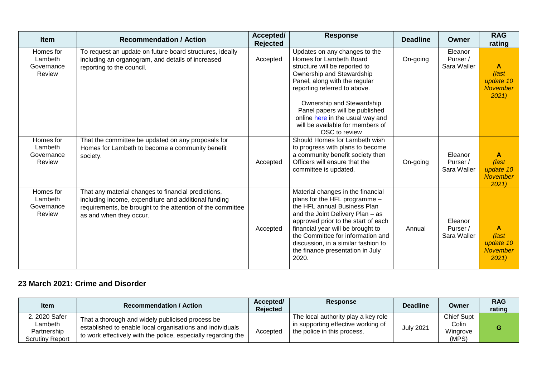| <b>Item</b>                                  | <b>Recommendation / Action</b>                                                                                                                                                                       | Accepted/<br><b>Rejected</b> | <b>Response</b>                                                                                                                                                                                                                                                                                                                             | <b>Deadline</b> | <b>Owner</b>                       | <b>RAG</b><br>rating                               |
|----------------------------------------------|------------------------------------------------------------------------------------------------------------------------------------------------------------------------------------------------------|------------------------------|---------------------------------------------------------------------------------------------------------------------------------------------------------------------------------------------------------------------------------------------------------------------------------------------------------------------------------------------|-----------------|------------------------------------|----------------------------------------------------|
| Homes for<br>Lambeth<br>Governance<br>Review | To request an update on future board structures, ideally<br>including an organogram, and details of increased<br>reporting to the council.                                                           | Accepted                     | Updates on any changes to the<br>Homes for Lambeth Board<br>structure will be reported to<br>Ownership and Stewardship<br>Panel, along with the regular<br>reporting referred to above.<br>Ownership and Stewardship<br>Panel papers will be published<br>online here in the usual way and<br>will be available for members of              | On-going        | Eleanor<br>Purser /<br>Sara Waller | A<br>(last<br>update 10<br><b>November</b><br>2021 |
| Homes for<br>Lambeth<br>Governance<br>Review | That the committee be updated on any proposals for<br>Homes for Lambeth to become a community benefit<br>society.                                                                                    | Accepted                     | OSC to review<br>Should Homes for Lambeth wish<br>to progress with plans to become<br>a community benefit society then<br>Officers will ensure that the<br>committee is updated.                                                                                                                                                            | On-going        | Eleanor<br>Purser /<br>Sara Waller | A<br>(last<br>update 10<br><b>November</b><br>2021 |
| Homes for<br>Lambeth<br>Governance<br>Review | That any material changes to financial predictions,<br>including income, expenditure and additional funding<br>requirements, be brought to the attention of the committee<br>as and when they occur. | Accepted                     | Material changes in the financial<br>plans for the HFL programme -<br>the HFL annual Business Plan<br>and the Joint Delivery Plan - as<br>approved prior to the start of each<br>financial year will be brought to<br>the Committee for information and<br>discussion, in a similar fashion to<br>the finance presentation in July<br>2020. | Annual          | Eleanor<br>Purser /<br>Sara Waller | A<br>(last<br>update 10<br>November<br>2021        |

### **23 March 2021: Crime and Disorder**

| ltem                                                              | <b>Recommendation / Action</b>                                                                                                                                                 | Accepted/<br><b>Rejected</b> | <b>Response</b>                                                                                          | <b>Deadline</b>  | Owner                                           | <b>RAG</b><br>rating |
|-------------------------------------------------------------------|--------------------------------------------------------------------------------------------------------------------------------------------------------------------------------|------------------------------|----------------------------------------------------------------------------------------------------------|------------------|-------------------------------------------------|----------------------|
| 2. 2020 Safer<br>Lambeth<br>Partnership<br><b>Scrutiny Report</b> | That a thorough and widely publicised process be<br>established to enable local organisations and individuals<br>to work effectively with the police, especially regarding the | Accepted                     | The local authority play a key role<br>in supporting effective working of<br>the police in this process. | <b>July 2021</b> | <b>Chief Supt</b><br>Colin<br>Wingrove<br>(MPS) |                      |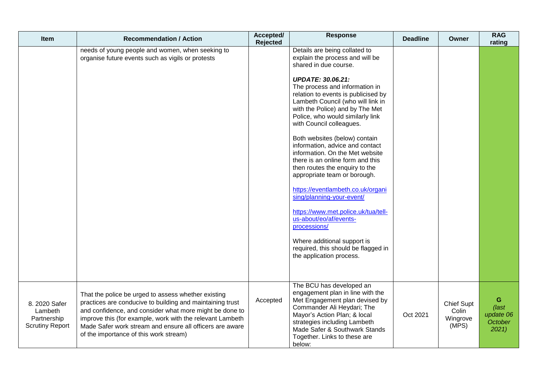| Item                                                              | <b>Recommendation / Action</b>                                                                                                                                                                                                                                                                                                                 | Accepted/<br>Rejected | <b>Response</b>                                                                                                                                                                                                                                                         | <b>Deadline</b> | Owner                                           | <b>RAG</b><br>rating                               |
|-------------------------------------------------------------------|------------------------------------------------------------------------------------------------------------------------------------------------------------------------------------------------------------------------------------------------------------------------------------------------------------------------------------------------|-----------------------|-------------------------------------------------------------------------------------------------------------------------------------------------------------------------------------------------------------------------------------------------------------------------|-----------------|-------------------------------------------------|----------------------------------------------------|
|                                                                   | needs of young people and women, when seeking to<br>organise future events such as vigils or protests                                                                                                                                                                                                                                          |                       | Details are being collated to<br>explain the process and will be<br>shared in due course.                                                                                                                                                                               |                 |                                                 |                                                    |
|                                                                   |                                                                                                                                                                                                                                                                                                                                                |                       | <b>UPDATE: 30.06.21:</b><br>The process and information in<br>relation to events is publicised by<br>Lambeth Council (who will link in<br>with the Police) and by The Met<br>Police, who would similarly link<br>with Council colleagues.                               |                 |                                                 |                                                    |
|                                                                   |                                                                                                                                                                                                                                                                                                                                                |                       | Both websites (below) contain<br>information, advice and contact<br>information. On the Met website<br>there is an online form and this<br>then routes the enquiry to the<br>appropriate team or borough.                                                               |                 |                                                 |                                                    |
|                                                                   |                                                                                                                                                                                                                                                                                                                                                |                       | https://eventlambeth.co.uk/organi<br>sing/planning-your-event/                                                                                                                                                                                                          |                 |                                                 |                                                    |
|                                                                   |                                                                                                                                                                                                                                                                                                                                                |                       | https://www.met.police.uk/tua/tell-<br>us-about/eo/af/events-<br>processions/                                                                                                                                                                                           |                 |                                                 |                                                    |
|                                                                   |                                                                                                                                                                                                                                                                                                                                                |                       | Where additional support is<br>required, this should be flagged in<br>the application process.                                                                                                                                                                          |                 |                                                 |                                                    |
| 8. 2020 Safer<br>Lambeth<br>Partnership<br><b>Scrutiny Report</b> | That the police be urged to assess whether existing<br>practices are conducive to building and maintaining trust<br>and confidence, and consider what more might be done to<br>improve this (for example, work with the relevant Lambeth<br>Made Safer work stream and ensure all officers are aware<br>of the importance of this work stream) | Accepted              | The BCU has developed an<br>engagement plan in line with the<br>Met Engagement plan devised by<br>Commander Ali Heydari; The<br>Mayor's Action Plan; & local<br>strategies including Lambeth<br>Made Safer & Southwark Stands<br>Together. Links to these are<br>below: | Oct 2021        | <b>Chief Supt</b><br>Colin<br>Wingrove<br>(MPS) | G<br>$\sqrt{last}$<br>update 06<br>October<br>2021 |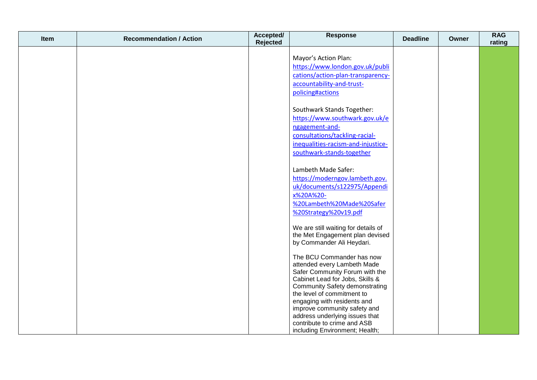| Item | <b>Recommendation / Action</b> | Accepted/<br>Rejected | <b>Response</b>                                             | <b>Deadline</b> | Owner | <b>RAG</b><br>rating |
|------|--------------------------------|-----------------------|-------------------------------------------------------------|-----------------|-------|----------------------|
|      |                                |                       |                                                             |                 |       |                      |
|      |                                |                       | Mayor's Action Plan:<br>https://www.london.gov.uk/publi     |                 |       |                      |
|      |                                |                       | cations/action-plan-transparency-                           |                 |       |                      |
|      |                                |                       | accountability-and-trust-                                   |                 |       |                      |
|      |                                |                       | policing#actions                                            |                 |       |                      |
|      |                                |                       |                                                             |                 |       |                      |
|      |                                |                       | Southwark Stands Together:                                  |                 |       |                      |
|      |                                |                       | https://www.southwark.gov.uk/e                              |                 |       |                      |
|      |                                |                       | ngagement-and-                                              |                 |       |                      |
|      |                                |                       | consultations/tackling-racial-                              |                 |       |                      |
|      |                                |                       | inequalities-racism-and-injustice-                          |                 |       |                      |
|      |                                |                       | southwark-stands-together                                   |                 |       |                      |
|      |                                |                       |                                                             |                 |       |                      |
|      |                                |                       | Lambeth Made Safer:                                         |                 |       |                      |
|      |                                |                       | https://moderngov.lambeth.gov.                              |                 |       |                      |
|      |                                |                       | uk/documents/s122975/Appendi                                |                 |       |                      |
|      |                                |                       | x%20A%20-                                                   |                 |       |                      |
|      |                                |                       | %20Lambeth%20Made%20Safer                                   |                 |       |                      |
|      |                                |                       | %20Strategy%20v19.pdf                                       |                 |       |                      |
|      |                                |                       | We are still waiting for details of                         |                 |       |                      |
|      |                                |                       | the Met Engagement plan devised                             |                 |       |                      |
|      |                                |                       | by Commander Ali Heydari.                                   |                 |       |                      |
|      |                                |                       | The BCU Commander has now                                   |                 |       |                      |
|      |                                |                       | attended every Lambeth Made                                 |                 |       |                      |
|      |                                |                       | Safer Community Forum with the                              |                 |       |                      |
|      |                                |                       | Cabinet Lead for Jobs, Skills &                             |                 |       |                      |
|      |                                |                       | <b>Community Safety demonstrating</b>                       |                 |       |                      |
|      |                                |                       | the level of commitment to                                  |                 |       |                      |
|      |                                |                       | engaging with residents and<br>improve community safety and |                 |       |                      |
|      |                                |                       | address underlying issues that                              |                 |       |                      |
|      |                                |                       | contribute to crime and ASB                                 |                 |       |                      |
|      |                                |                       | including Environment; Health;                              |                 |       |                      |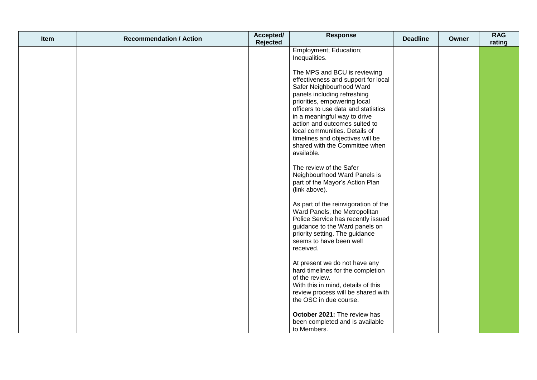| Item | <b>Recommendation / Action</b> | Accepted/<br>Rejected | <b>Response</b>                                                                                                                                                                                                                                                                                                                                                               | <b>Deadline</b> | Owner | <b>RAG</b><br>rating |
|------|--------------------------------|-----------------------|-------------------------------------------------------------------------------------------------------------------------------------------------------------------------------------------------------------------------------------------------------------------------------------------------------------------------------------------------------------------------------|-----------------|-------|----------------------|
|      |                                |                       | Employment; Education;<br>Inequalities.                                                                                                                                                                                                                                                                                                                                       |                 |       |                      |
|      |                                |                       | The MPS and BCU is reviewing<br>effectiveness and support for local<br>Safer Neighbourhood Ward<br>panels including refreshing<br>priorities, empowering local<br>officers to use data and statistics<br>in a meaningful way to drive<br>action and outcomes suited to<br>local communities. Details of<br>timelines and objectives will be<br>shared with the Committee when |                 |       |                      |
|      |                                |                       | available.<br>The review of the Safer<br>Neighbourhood Ward Panels is<br>part of the Mayor's Action Plan<br>(link above).                                                                                                                                                                                                                                                     |                 |       |                      |
|      |                                |                       | As part of the reinvigoration of the<br>Ward Panels, the Metropolitan<br>Police Service has recently issued<br>guidance to the Ward panels on<br>priority setting. The guidance<br>seems to have been well<br>received.                                                                                                                                                       |                 |       |                      |
|      |                                |                       | At present we do not have any<br>hard timelines for the completion<br>of the review.<br>With this in mind, details of this<br>review process will be shared with<br>the OSC in due course.                                                                                                                                                                                    |                 |       |                      |
|      |                                |                       | October 2021: The review has<br>been completed and is available<br>to Members.                                                                                                                                                                                                                                                                                                |                 |       |                      |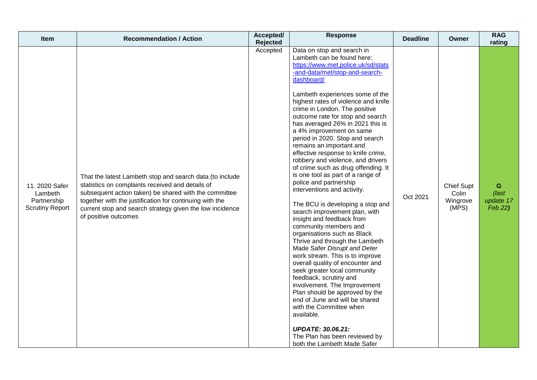| <b>Item</b>                                                        | <b>Recommendation / Action</b>                                                                                                                                                                                                                                                                                       | Accepted/<br>Rejected | <b>Response</b>                                                                                                                                                                                                                                                                                                                                                                                                                                                                                                                                                                                                                                                                                                                                                                                                                                                                                                                                                                                                                                                                                                                                                                                                                                    | <b>Deadline</b> | Owner                                           | <b>RAG</b><br>rating                  |
|--------------------------------------------------------------------|----------------------------------------------------------------------------------------------------------------------------------------------------------------------------------------------------------------------------------------------------------------------------------------------------------------------|-----------------------|----------------------------------------------------------------------------------------------------------------------------------------------------------------------------------------------------------------------------------------------------------------------------------------------------------------------------------------------------------------------------------------------------------------------------------------------------------------------------------------------------------------------------------------------------------------------------------------------------------------------------------------------------------------------------------------------------------------------------------------------------------------------------------------------------------------------------------------------------------------------------------------------------------------------------------------------------------------------------------------------------------------------------------------------------------------------------------------------------------------------------------------------------------------------------------------------------------------------------------------------------|-----------------|-------------------------------------------------|---------------------------------------|
| 11. 2020 Safer<br>Lambeth<br>Partnership<br><b>Scrutiny Report</b> | That the latest Lambeth stop and search data (to include<br>statistics on complaints received and details of<br>subsequent action taken) be shared with the committee<br>together with the justification for continuing with the<br>current stop and search strategy given the low incidence<br>of positive outcomes | Accepted              | Data on stop and search in<br>Lambeth can be found here:<br>https://www.met.police.uk/sd/stats<br>-and-data/met/stop-and-search-<br>dashboard/<br>Lambeth experiences some of the<br>highest rates of violence and knife<br>crime in London. The positive<br>outcome rate for stop and search<br>has averaged 26% in 2021 this is<br>a 4% improvement on same<br>period in 2020. Stop and search<br>remains an important and<br>effective response to knife crime,<br>robbery and violence, and drivers<br>of crime such as drug offending. It<br>is one tool as part of a range of<br>police and partnership<br>interventions and activity.<br>The BCU is developing a stop and<br>search improvement plan, with<br>insight and feedback from<br>community members and<br>organisations such as Black<br>Thrive and through the Lambeth<br>Made Safer Disrupt and Deter<br>work stream. This is to improve<br>overall quality of encounter and<br>seek greater local community<br>feedback, scrutiny and<br>involvement. The Improvement<br>Plan should be approved by the<br>end of June and will be shared<br>with the Committee when<br>available.<br><b>UPDATE: 30.06.21:</b><br>The Plan has been reviewed by<br>both the Lambeth Made Safer | Oct 2021        | <b>Chief Supt</b><br>Colin<br>Wingrove<br>(MPS) | G<br>$($ last<br>update 17<br>Feb 22) |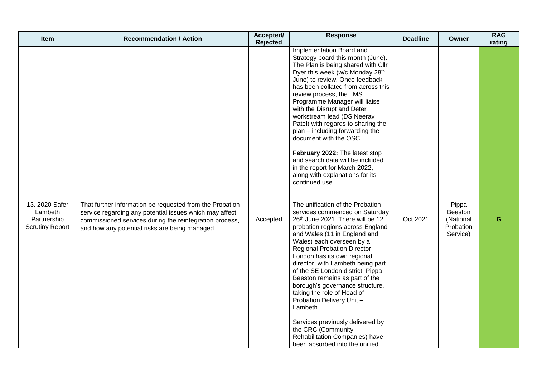| Item                                                               | <b>Recommendation / Action</b>                                                                                                                                                                                                  | Accepted/<br><b>Rejected</b> | <b>Response</b>                                                                                                                                                                                                                                                                                                                                                                                                                                                                                                                                                                                                           | <b>Deadline</b> | Owner                                                  | <b>RAG</b><br>rating |
|--------------------------------------------------------------------|---------------------------------------------------------------------------------------------------------------------------------------------------------------------------------------------------------------------------------|------------------------------|---------------------------------------------------------------------------------------------------------------------------------------------------------------------------------------------------------------------------------------------------------------------------------------------------------------------------------------------------------------------------------------------------------------------------------------------------------------------------------------------------------------------------------------------------------------------------------------------------------------------------|-----------------|--------------------------------------------------------|----------------------|
|                                                                    |                                                                                                                                                                                                                                 |                              | Implementation Board and<br>Strategy board this month (June).<br>The Plan is being shared with Cllr<br>Dyer this week (w/c Monday 28th<br>June) to review. Once feedback<br>has been collated from across this<br>review process, the LMS<br>Programme Manager will liaise<br>with the Disrupt and Deter<br>workstream lead (DS Neerav<br>Patel) with regards to sharing the<br>plan – including forwarding the<br>document with the OSC.<br>February 2022: The latest stop<br>and search data will be included<br>in the report for March 2022,<br>along with explanations for its<br>continued use                      |                 |                                                        |                      |
| 13. 2020 Safer<br>Lambeth<br>Partnership<br><b>Scrutiny Report</b> | That further information be requested from the Probation<br>service regarding any potential issues which may affect<br>commissioned services during the reintegration process,<br>and how any potential risks are being managed | Accepted                     | The unification of the Probation<br>services commenced on Saturday<br>26th June 2021. There will be 12<br>probation regions across England<br>and Wales (11 in England and<br>Wales) each overseen by a<br>Regional Probation Director.<br>London has its own regional<br>director, with Lambeth being part<br>of the SE London district. Pippa<br>Beeston remains as part of the<br>borough's governance structure,<br>taking the role of Head of<br>Probation Delivery Unit -<br>Lambeth.<br>Services previously delivered by<br>the CRC (Community<br>Rehabilitation Companies) have<br>been absorbed into the unified | Oct 2021        | Pippa<br>Beeston<br>(National<br>Probation<br>Service) | G                    |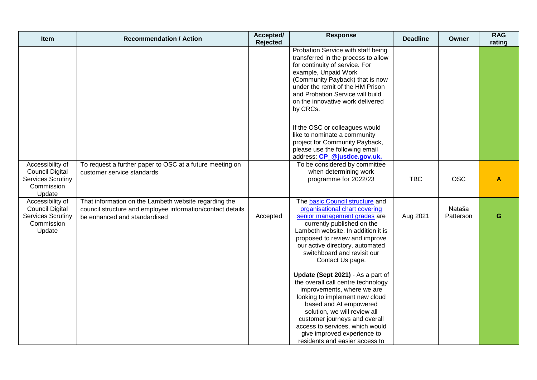| Item                                                                                           | <b>Recommendation / Action</b>                                                                                                                      | Accepted/<br><b>Rejected</b> | <b>Response</b>                                                                                                                                                                                                                                                                                                                        | <b>Deadline</b> | Owner               | <b>RAG</b><br>rating |
|------------------------------------------------------------------------------------------------|-----------------------------------------------------------------------------------------------------------------------------------------------------|------------------------------|----------------------------------------------------------------------------------------------------------------------------------------------------------------------------------------------------------------------------------------------------------------------------------------------------------------------------------------|-----------------|---------------------|----------------------|
|                                                                                                |                                                                                                                                                     |                              | Probation Service with staff being<br>transferred in the process to allow<br>for continuity of service. For<br>example, Unpaid Work<br>(Community Payback) that is now<br>under the remit of the HM Prison<br>and Probation Service will build<br>on the innovative work delivered<br>by CRCs.                                         |                 |                     |                      |
|                                                                                                |                                                                                                                                                     |                              | If the OSC or colleagues would<br>like to nominate a community<br>project for Community Payback,<br>please use the following email<br>address: CP @justice.gov.uk.                                                                                                                                                                     |                 |                     |                      |
| Accessibility of<br><b>Council Digital</b><br><b>Services Scrutiny</b><br>Commission<br>Update | To request a further paper to OSC at a future meeting on<br>customer service standards                                                              |                              | To be considered by committee<br>when determining work<br>programme for 2022/23                                                                                                                                                                                                                                                        | <b>TBC</b>      | <b>OSC</b>          | A                    |
| Accessibility of<br><b>Council Digital</b><br><b>Services Scrutiny</b><br>Commission<br>Update | That information on the Lambeth website regarding the<br>council structure and employee information/contact details<br>be enhanced and standardised | Accepted                     | The basic Council structure and<br>organisational chart covering<br>senior management grades are<br>currently published on the<br>Lambeth website. In addition it is<br>proposed to review and improve<br>our active directory, automated<br>switchboard and revisit our<br>Contact Us page.                                           | Aug 2021        | Nataša<br>Patterson | G                    |
|                                                                                                |                                                                                                                                                     |                              | Update (Sept 2021) - As a part of<br>the overall call centre technology<br>improvements, where we are<br>looking to implement new cloud<br>based and AI empowered<br>solution, we will review all<br>customer journeys and overall<br>access to services, which would<br>give improved experience to<br>residents and easier access to |                 |                     |                      |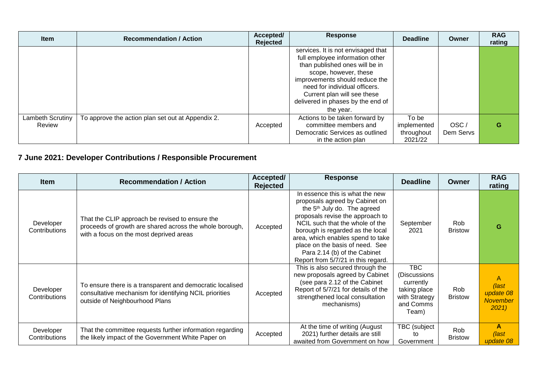| <b>Item</b>                | <b>Recommendation / Action</b>                    | Accepted/<br>Rejected | <b>Response</b>                                                                                                                                                                                                                                                                      | <b>Deadline</b>                               | Owner             | <b>RAG</b><br>rating |
|----------------------------|---------------------------------------------------|-----------------------|--------------------------------------------------------------------------------------------------------------------------------------------------------------------------------------------------------------------------------------------------------------------------------------|-----------------------------------------------|-------------------|----------------------|
|                            |                                                   |                       | services. It is not envisaged that<br>full employee information other<br>than published ones will be in<br>scope, however, these<br>improvements should reduce the<br>need for individual officers.<br>Current plan will see these<br>delivered in phases by the end of<br>the year. |                                               |                   |                      |
| Lambeth Scrutiny<br>Review | To approve the action plan set out at Appendix 2. | Accepted              | Actions to be taken forward by<br>committee members and<br>Democratic Services as outlined<br>in the action plan                                                                                                                                                                     | To be<br>implemented<br>throughout<br>2021/22 | OSC/<br>Dem Servs | G                    |

# **7 June 2021: Developer Contributions / Responsible Procurement**

| <b>Item</b>                | <b>Recommendation / Action</b>                                                                                                                        | Accepted/<br><b>Rejected</b> | <b>Response</b>                                                                                                                                                                                                                                                                                                                                                       | <b>Deadline</b>                                                                          | Owner                 | <b>RAG</b><br>rating                               |
|----------------------------|-------------------------------------------------------------------------------------------------------------------------------------------------------|------------------------------|-----------------------------------------------------------------------------------------------------------------------------------------------------------------------------------------------------------------------------------------------------------------------------------------------------------------------------------------------------------------------|------------------------------------------------------------------------------------------|-----------------------|----------------------------------------------------|
| Developer<br>Contributions | That the CLIP approach be revised to ensure the<br>proceeds of growth are shared across the whole borough,<br>with a focus on the most deprived areas | Accepted                     | In essence this is what the new<br>proposals agreed by Cabinet on<br>the 5 <sup>th</sup> July do. The agreed<br>proposals revise the approach to<br>NCIL such that the whole of the<br>borough is regarded as the local<br>area, which enables spend to take<br>place on the basis of need. See<br>Para 2.14 (b) of the Cabinet<br>Report from 5/7/21 in this regard. | September<br>2021                                                                        | Rob<br><b>Bristow</b> | G                                                  |
| Developer<br>Contributions | To ensure there is a transparent and democratic localised<br>consultative mechanism for identifying NCIL priorities<br>outside of Neighbourhood Plans | Accepted                     | This is also secured through the<br>new proposals agreed by Cabinet<br>(see para 2.12 of the Cabinet<br>Report of 5/7/21 for details of the<br>strengthened local consultation<br>mechanisms)                                                                                                                                                                         | TBC<br>(Discussions)<br>currently<br>taking place<br>with Strategy<br>and Comms<br>Team) | Rob<br><b>Bristow</b> | A<br>(last<br>update 08<br><b>November</b><br>2021 |
| Developer<br>Contributions | That the committee requests further information regarding<br>the likely impact of the Government White Paper on                                       | Accepted                     | At the time of writing (August<br>2021) further details are still<br>awaited from Government on how                                                                                                                                                                                                                                                                   | TBC (subject<br>to<br>Government                                                         | Rob<br><b>Bristow</b> | A<br>$\sqrt{last}$<br>update 08                    |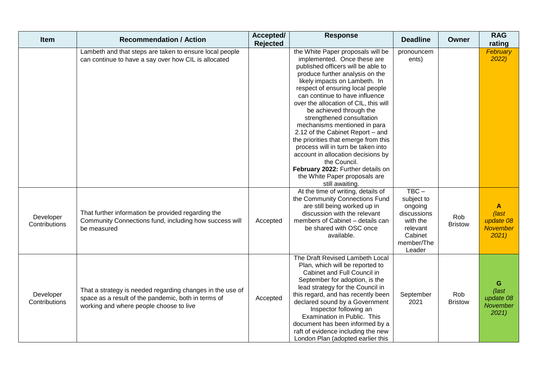| Item                       | <b>Recommendation / Action</b>                                                                                                                              | Accepted/<br><b>Rejected</b> | <b>Response</b>                                                                                                                                                                                                                                                                                                                                                                                                                                                                                                                                                                                                                                    | <b>Deadline</b>                                                                                            | Owner                 | <b>RAG</b><br>rating                                |
|----------------------------|-------------------------------------------------------------------------------------------------------------------------------------------------------------|------------------------------|----------------------------------------------------------------------------------------------------------------------------------------------------------------------------------------------------------------------------------------------------------------------------------------------------------------------------------------------------------------------------------------------------------------------------------------------------------------------------------------------------------------------------------------------------------------------------------------------------------------------------------------------------|------------------------------------------------------------------------------------------------------------|-----------------------|-----------------------------------------------------|
|                            | Lambeth and that steps are taken to ensure local people<br>can continue to have a say over how CIL is allocated                                             |                              | the White Paper proposals will be<br>implemented. Once these are<br>published officers will be able to<br>produce further analysis on the<br>likely impacts on Lambeth. In<br>respect of ensuring local people<br>can continue to have influence<br>over the allocation of CIL, this will<br>be achieved through the<br>strengthened consultation<br>mechanisms mentioned in para<br>2.12 of the Cabinet Report - and<br>the priorities that emerge from this<br>process will in turn be taken into<br>account in allocation decisions by<br>the Council.<br>February 2022: Further details on<br>the White Paper proposals are<br>still awaiting. | pronouncem<br>ents)                                                                                        |                       | February<br>2022)                                   |
| Developer<br>Contributions | That further information be provided regarding the<br>Community Connections fund, including how success will<br>be measured                                 | Accepted                     | At the time of writing, details of<br>the Community Connections Fund<br>are still being worked up in<br>discussion with the relevant<br>members of Cabinet - details can<br>be shared with OSC once<br>available.                                                                                                                                                                                                                                                                                                                                                                                                                                  | $TBC -$<br>subject to<br>ongoing<br>discussions<br>with the<br>relevant<br>Cabinet<br>member/The<br>Leader | Rob<br><b>Bristow</b> | A<br>(last<br>update 08<br><b>November</b><br>2021  |
| Developer<br>Contributions | That a strategy is needed regarding changes in the use of<br>space as a result of the pandemic, both in terms of<br>working and where people choose to live | Accepted                     | The Draft Revised Lambeth Local<br>Plan, which will be reported to<br>Cabinet and Full Council in<br>September for adoption, is the<br>lead strategy for the Council in<br>this regard, and has recently been<br>declared sound by a Government<br>Inspector following an<br>Examination in Public. This<br>document has been informed by a<br>raft of evidence including the new<br>London Plan (adopted earlier this                                                                                                                                                                                                                             | September<br>2021                                                                                          | Rob<br><b>Bristow</b> | G<br>$\sqrt{last}$<br>update 08<br>November<br>2021 |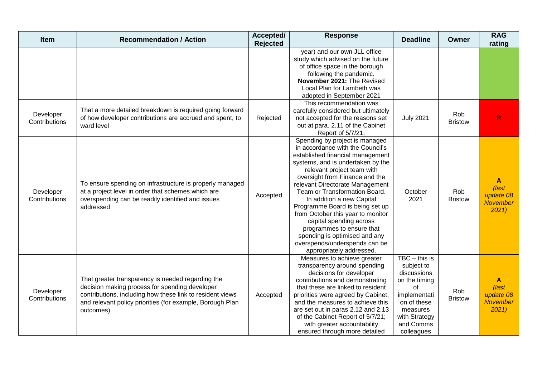| <b>Item</b>                | <b>Recommendation / Action</b>                                                                                                                                                                                                             | Accepted/<br><b>Rejected</b> | <b>Response</b>                                                                                                                                                                                                                                                                                                                                                                                                                                                                                                                            | <b>Deadline</b>                                                                                                                                            | Owner                 | <b>RAG</b><br>rating                                          |
|----------------------------|--------------------------------------------------------------------------------------------------------------------------------------------------------------------------------------------------------------------------------------------|------------------------------|--------------------------------------------------------------------------------------------------------------------------------------------------------------------------------------------------------------------------------------------------------------------------------------------------------------------------------------------------------------------------------------------------------------------------------------------------------------------------------------------------------------------------------------------|------------------------------------------------------------------------------------------------------------------------------------------------------------|-----------------------|---------------------------------------------------------------|
|                            |                                                                                                                                                                                                                                            |                              | year) and our own JLL office<br>study which advised on the future<br>of office space in the borough<br>following the pandemic.<br>November 2021: The Revised<br>Local Plan for Lambeth was<br>adopted in September 2021                                                                                                                                                                                                                                                                                                                    |                                                                                                                                                            |                       |                                                               |
| Developer<br>Contributions | That a more detailed breakdown is required going forward<br>of how developer contributions are accrued and spent, to<br>ward level                                                                                                         | Rejected                     | This recommendation was<br>carefully considered but ultimately<br>not accepted for the reasons set<br>out at para. 2.11 of the Cabinet<br>Report of 5/7/21.                                                                                                                                                                                                                                                                                                                                                                                | <b>July 2021</b>                                                                                                                                           | Rob<br><b>Bristow</b> | R                                                             |
| Developer<br>Contributions | To ensure spending on infrastructure is properly managed<br>at a project level in order that schemes which are<br>overspending can be readily identified and issues<br>addressed                                                           | Accepted                     | Spending by project is managed<br>in accordance with the Council's<br>established financial management<br>systems, and is undertaken by the<br>relevant project team with<br>oversight from Finance and the<br>relevant Directorate Management<br>Team or Transformation Board.<br>In addition a new Capital<br>Programme Board is being set up<br>from October this year to monitor<br>capital spending across<br>programmes to ensure that<br>spending is optimised and any<br>overspends/underspends can be<br>appropriately addressed. | October<br>2021                                                                                                                                            | Rob<br><b>Bristow</b> | $\mathbf{A}$<br>(last<br>update 08<br>November<br>2021        |
| Developer<br>Contributions | That greater transparency is needed regarding the<br>decision making process for spending developer<br>contributions, including how these link to resident views<br>and relevant policy priorities (for example, Borough Plan<br>outcomes) | Accepted                     | Measures to achieve greater<br>transparency around spending<br>decisions for developer<br>contributions and demonstrating<br>that these are linked to resident<br>priorities were agreed by Cabinet,<br>and the measures to achieve this<br>are set out in paras 2.12 and 2.13<br>of the Cabinet Report of 5/7/21;<br>with greater accountability<br>ensured through more detailed                                                                                                                                                         | $TBC - this is$<br>subject to<br>discussions<br>on the timing<br>of<br>implementati<br>on of these<br>measures<br>with Strategy<br>and Comms<br>colleagues | Rob<br><b>Bristow</b> | $\mathbf{A}$<br>(last<br>update 08<br><b>November</b><br>2021 |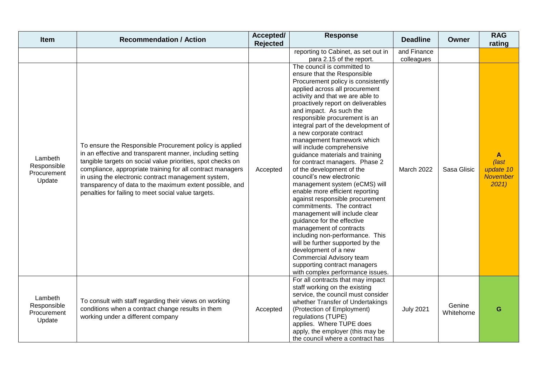| Item                                            | <b>Recommendation / Action</b>                                                                                                                                                                                                                                                                                                                                                                                              | Accepted/<br>Rejected | <b>Response</b>                                                                                                                                                                                                                                                                                                                                                                                                                                                                                                                                                                                                                                                                                                                                                                                                                                                                                                                                                    | <b>Deadline</b>           | <b>Owner</b>         | <b>RAG</b><br>rating                        |
|-------------------------------------------------|-----------------------------------------------------------------------------------------------------------------------------------------------------------------------------------------------------------------------------------------------------------------------------------------------------------------------------------------------------------------------------------------------------------------------------|-----------------------|--------------------------------------------------------------------------------------------------------------------------------------------------------------------------------------------------------------------------------------------------------------------------------------------------------------------------------------------------------------------------------------------------------------------------------------------------------------------------------------------------------------------------------------------------------------------------------------------------------------------------------------------------------------------------------------------------------------------------------------------------------------------------------------------------------------------------------------------------------------------------------------------------------------------------------------------------------------------|---------------------------|----------------------|---------------------------------------------|
|                                                 |                                                                                                                                                                                                                                                                                                                                                                                                                             |                       | reporting to Cabinet, as set out in<br>para 2.15 of the report.                                                                                                                                                                                                                                                                                                                                                                                                                                                                                                                                                                                                                                                                                                                                                                                                                                                                                                    | and Finance<br>colleagues |                      |                                             |
| Lambeth<br>Responsible<br>Procurement<br>Update | To ensure the Responsible Procurement policy is applied<br>in an effective and transparent manner, including setting<br>tangible targets on social value priorities, spot checks on<br>compliance, appropriate training for all contract managers<br>in using the electronic contract management system,<br>transparency of data to the maximum extent possible, and<br>penalties for failing to meet social value targets. | Accepted              | The council is committed to<br>ensure that the Responsible<br>Procurement policy is consistently<br>applied across all procurement<br>activity and that we are able to<br>proactively report on deliverables<br>and impact. As such the<br>responsible procurement is an<br>integral part of the development of<br>a new corporate contract<br>management framework which<br>will include comprehensive<br>guidance materials and training<br>for contract managers. Phase 2<br>of the development of the<br>council's new electronic<br>management system (eCMS) will<br>enable more efficient reporting<br>against responsible procurement<br>commitments. The contract<br>management will include clear<br>guidance for the effective<br>management of contracts<br>including non-performance. This<br>will be further supported by the<br>development of a new<br>Commercial Advisory team<br>supporting contract managers<br>with complex performance issues. | March 2022                | Sasa Glisic          | A<br>(last<br>update 10<br>November<br>2021 |
| Lambeth<br>Responsible<br>Procurement<br>Update | To consult with staff regarding their views on working<br>conditions when a contract change results in them<br>working under a different company                                                                                                                                                                                                                                                                            | Accepted              | For all contracts that may impact<br>staff working on the existing<br>service, the council must consider<br>whether Transfer of Undertakings<br>(Protection of Employment)<br>regulations (TUPE)<br>applies. Where TUPE does<br>apply, the employer (this may be<br>the council where a contract has                                                                                                                                                                                                                                                                                                                                                                                                                                                                                                                                                                                                                                                               | <b>July 2021</b>          | Genine<br>Whitehorne | G                                           |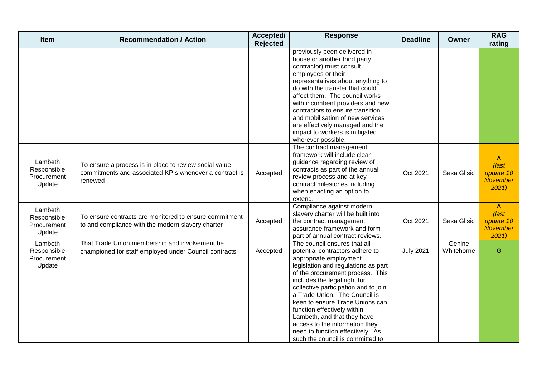| Item                                            | <b>Recommendation / Action</b>                                                                                              | Accepted/<br><b>Rejected</b> | <b>Response</b>                                                                                                                                                                                                                                                                                                                                                                                                                                                                          | <b>Deadline</b>  | <b>Owner</b>         | <b>RAG</b><br>rating                                                  |
|-------------------------------------------------|-----------------------------------------------------------------------------------------------------------------------------|------------------------------|------------------------------------------------------------------------------------------------------------------------------------------------------------------------------------------------------------------------------------------------------------------------------------------------------------------------------------------------------------------------------------------------------------------------------------------------------------------------------------------|------------------|----------------------|-----------------------------------------------------------------------|
|                                                 |                                                                                                                             |                              | previously been delivered in-<br>house or another third party<br>contractor) must consult<br>employees or their<br>representatives about anything to<br>do with the transfer that could<br>affect them. The council works<br>with incumbent providers and new<br>contractors to ensure transition<br>and mobilisation of new services<br>are effectively managed and the<br>impact to workers is mitigated<br>wherever possible.                                                         |                  |                      |                                                                       |
| Lambeth<br>Responsible<br>Procurement<br>Update | To ensure a process is in place to review social value<br>commitments and associated KPIs whenever a contract is<br>renewed | Accepted                     | The contract management<br>framework will include clear<br>guidance regarding review of<br>contracts as part of the annual<br>review process and at key<br>contract milestones including<br>when enacting an option to<br>extend.                                                                                                                                                                                                                                                        | Oct 2021         | Sasa Glisic          | $\mathsf{A}$<br>(last<br>update 10<br><b>November</b><br>2021         |
| Lambeth<br>Responsible<br>Procurement<br>Update | To ensure contracts are monitored to ensure commitment<br>to and compliance with the modern slavery charter                 | Accepted                     | Compliance against modern<br>slavery charter will be built into<br>the contract management<br>assurance framework and form<br>part of annual contract reviews.                                                                                                                                                                                                                                                                                                                           | Oct 2021         | Sasa Glisic          | $\mathbf{A}$<br>$\sqrt{last}$<br>update 10<br><b>November</b><br>2021 |
| Lambeth<br>Responsible<br>Procurement<br>Update | That Trade Union membership and involvement be<br>championed for staff employed under Council contracts                     | Accepted                     | The council ensures that all<br>potential contractors adhere to<br>appropriate employment<br>legislation and regulations as part<br>of the procurement process. This<br>includes the legal right for<br>collective participation and to join<br>a Trade Union. The Council is<br>keen to ensure Trade Unions can<br>function effectively within<br>Lambeth, and that they have<br>access to the information they<br>need to function effectively. As<br>such the council is committed to | <b>July 2021</b> | Genine<br>Whitehorne | G                                                                     |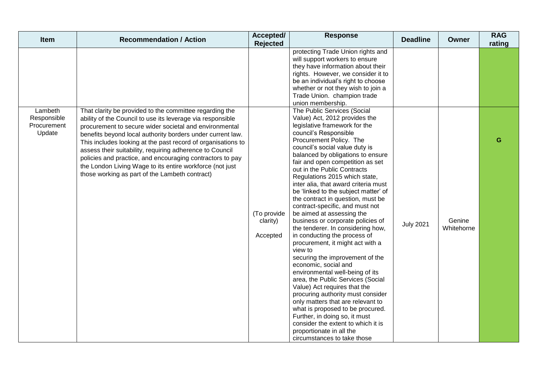| Item                                            | <b>Recommendation / Action</b>                                                                                                                                                                                                                                                                                                                                                                                                                                                                                                                       | Accepted/<br>Rejected               | <b>Response</b>                                                                                                                                                                                                                                                                                                                                                                                                                                                                                                                                                                                                                                                                                                                                                                                                                                                                                                                                                                                                                                                                               | <b>Deadline</b>  | Owner                | <b>RAG</b><br>rating |
|-------------------------------------------------|------------------------------------------------------------------------------------------------------------------------------------------------------------------------------------------------------------------------------------------------------------------------------------------------------------------------------------------------------------------------------------------------------------------------------------------------------------------------------------------------------------------------------------------------------|-------------------------------------|-----------------------------------------------------------------------------------------------------------------------------------------------------------------------------------------------------------------------------------------------------------------------------------------------------------------------------------------------------------------------------------------------------------------------------------------------------------------------------------------------------------------------------------------------------------------------------------------------------------------------------------------------------------------------------------------------------------------------------------------------------------------------------------------------------------------------------------------------------------------------------------------------------------------------------------------------------------------------------------------------------------------------------------------------------------------------------------------------|------------------|----------------------|----------------------|
|                                                 |                                                                                                                                                                                                                                                                                                                                                                                                                                                                                                                                                      |                                     | protecting Trade Union rights and<br>will support workers to ensure<br>they have information about their<br>rights. However, we consider it to<br>be an individual's right to choose<br>whether or not they wish to join a<br>Trade Union. champion trade<br>union membership.                                                                                                                                                                                                                                                                                                                                                                                                                                                                                                                                                                                                                                                                                                                                                                                                                |                  |                      |                      |
| Lambeth<br>Responsible<br>Procurement<br>Update | That clarity be provided to the committee regarding the<br>ability of the Council to use its leverage via responsible<br>procurement to secure wider societal and environmental<br>benefits beyond local authority borders under current law.<br>This includes looking at the past record of organisations to<br>assess their suitability, requiring adherence to Council<br>policies and practice, and encouraging contractors to pay<br>the London Living Wage to its entire workforce (not just<br>those working as part of the Lambeth contract) | (To provide<br>clarity)<br>Accepted | The Public Services (Social<br>Value) Act, 2012 provides the<br>legislative framework for the<br>council's Responsible<br>Procurement Policy. The<br>council's social value duty is<br>balanced by obligations to ensure<br>fair and open competition as set<br>out in the Public Contracts<br>Regulations 2015 which state,<br>inter alia, that award criteria must<br>be 'linked to the subject matter' of<br>the contract in question, must be<br>contract-specific, and must not<br>be aimed at assessing the<br>business or corporate policies of<br>the tenderer. In considering how,<br>in conducting the process of<br>procurement, it might act with a<br>view to<br>securing the improvement of the<br>economic, social and<br>environmental well-being of its<br>area, the Public Services (Social<br>Value) Act requires that the<br>procuring authority must consider<br>only matters that are relevant to<br>what is proposed to be procured.<br>Further, in doing so, it must<br>consider the extent to which it is<br>proportionate in all the<br>circumstances to take those | <b>July 2021</b> | Genine<br>Whitehorne | G                    |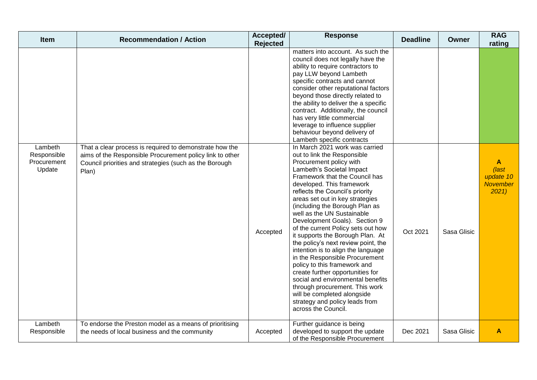| <b>Item</b>                                     | <b>Recommendation / Action</b>                                                                                                                                                         | Accepted/<br><b>Rejected</b> | <b>Response</b>                                                                                                                                                                                                                                                                                                                                                                                                                                                                                                                                                                                                                                                                                                                                                                         | <b>Deadline</b> | <b>Owner</b> | <b>RAG</b><br>rating                               |
|-------------------------------------------------|----------------------------------------------------------------------------------------------------------------------------------------------------------------------------------------|------------------------------|-----------------------------------------------------------------------------------------------------------------------------------------------------------------------------------------------------------------------------------------------------------------------------------------------------------------------------------------------------------------------------------------------------------------------------------------------------------------------------------------------------------------------------------------------------------------------------------------------------------------------------------------------------------------------------------------------------------------------------------------------------------------------------------------|-----------------|--------------|----------------------------------------------------|
|                                                 |                                                                                                                                                                                        |                              | matters into account. As such the<br>council does not legally have the<br>ability to require contractors to<br>pay LLW beyond Lambeth<br>specific contracts and cannot<br>consider other reputational factors<br>beyond those directly related to<br>the ability to deliver the a specific<br>contract. Additionally, the council<br>has very little commercial<br>leverage to influence supplier<br>behaviour beyond delivery of<br>Lambeth specific contracts                                                                                                                                                                                                                                                                                                                         |                 |              |                                                    |
| Lambeth<br>Responsible<br>Procurement<br>Update | That a clear process is required to demonstrate how the<br>aims of the Responsible Procurement policy link to other<br>Council priorities and strategies (such as the Borough<br>Plan) | Accepted                     | In March 2021 work was carried<br>out to link the Responsible<br>Procurement policy with<br>Lambeth's Societal Impact<br>Framework that the Council has<br>developed. This framework<br>reflects the Council's priority<br>areas set out in key strategies<br>(including the Borough Plan as<br>well as the UN Sustainable<br>Development Goals). Section 9<br>of the current Policy sets out how<br>it supports the Borough Plan. At<br>the policy's next review point, the<br>intention is to align the language<br>in the Responsible Procurement<br>policy to this framework and<br>create further opportunities for<br>social and environmental benefits<br>through procurement. This work<br>will be completed alongside<br>strategy and policy leads from<br>across the Council. | Oct 2021        | Sasa Glisic  | A<br>(last<br>update 10<br><b>November</b><br>2021 |
| Lambeth<br>Responsible                          | To endorse the Preston model as a means of prioritising<br>the needs of local business and the community                                                                               | Accepted                     | Further guidance is being<br>developed to support the update<br>of the Responsible Procurement                                                                                                                                                                                                                                                                                                                                                                                                                                                                                                                                                                                                                                                                                          | Dec 2021        | Sasa Glisic  | A                                                  |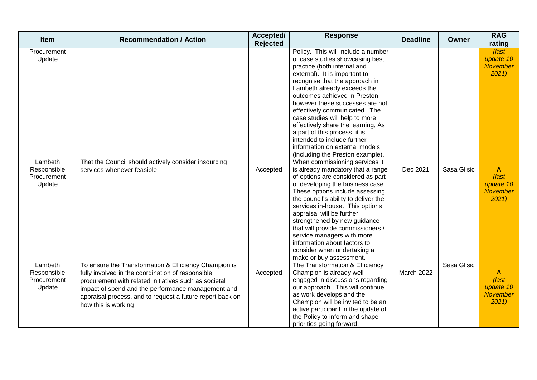| <b>Item</b>                                     | <b>Recommendation / Action</b>                                                                                                                                                                                                                                                                                | Accepted/<br>Rejected | <b>Response</b>                                                                                                                                                                                                                                                                                                                                                                                                                                                                                                          | <b>Deadline</b> | <b>Owner</b> | <b>RAG</b><br>rating                                          |
|-------------------------------------------------|---------------------------------------------------------------------------------------------------------------------------------------------------------------------------------------------------------------------------------------------------------------------------------------------------------------|-----------------------|--------------------------------------------------------------------------------------------------------------------------------------------------------------------------------------------------------------------------------------------------------------------------------------------------------------------------------------------------------------------------------------------------------------------------------------------------------------------------------------------------------------------------|-----------------|--------------|---------------------------------------------------------------|
| Procurement<br>Update                           |                                                                                                                                                                                                                                                                                                               |                       | Policy. This will include a number<br>of case studies showcasing best<br>practice (both internal and<br>external). It is important to<br>recognise that the approach in<br>Lambeth already exceeds the<br>outcomes achieved in Preston<br>however these successes are not<br>effectively communicated. The<br>case studies will help to more<br>effectively share the learning, As<br>a part of this process, it is<br>intended to include further<br>information on external models<br>(including the Preston example). |                 |              | (last<br>update 10<br>November<br>2021                        |
| Lambeth<br>Responsible<br>Procurement<br>Update | That the Council should actively consider insourcing<br>services whenever feasible                                                                                                                                                                                                                            | Accepted              | When commissioning services it<br>is already mandatory that a range<br>of options are considered as part<br>of developing the business case.<br>These options include assessing<br>the council's ability to deliver the<br>services in-house. This options<br>appraisal will be further<br>strengthened by new guidance<br>that will provide commissioners /<br>service managers with more<br>information about factors to<br>consider when undertaking a<br>make or buy assessment.                                     | Dec 2021        | Sasa Glisic  | $\mathbf{A}$<br>(last<br>update 10<br><b>November</b><br>2021 |
| Lambeth<br>Responsible<br>Procurement<br>Update | To ensure the Transformation & Efficiency Champion is<br>fully involved in the coordination of responsible<br>procurement with related initiatives such as societal<br>impact of spend and the performance management and<br>appraisal process, and to request a future report back on<br>how this is working | Accepted              | The Transformation & Efficiency<br>Champion is already well<br>engaged in discussions regarding<br>our approach. This will continue<br>as work develops and the<br>Champion will be invited to be an<br>active participant in the update of<br>the Policy to inform and shape<br>priorities going forward.                                                                                                                                                                                                               | March 2022      | Sasa Glisic  | A<br>(last<br>update 10<br><b>November</b><br>2021            |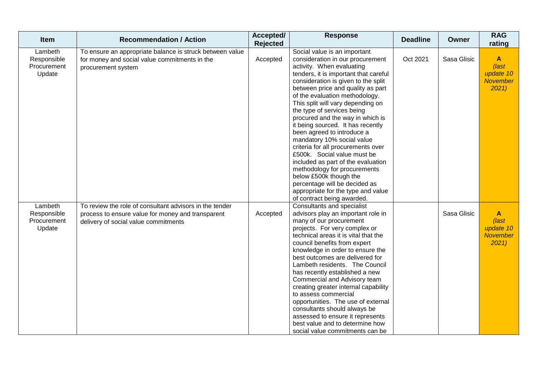| Item                                            | <b>Recommendation / Action</b>                                                                                                                       | Accepted/<br>Rejected | <b>Response</b>                                                                                                                                                                                                                                                                                                                                                                                                                                                                                                                                                                                                                                                                                                                        | <b>Deadline</b> | <b>Owner</b> | <b>RAG</b><br>rating                                                  |
|-------------------------------------------------|------------------------------------------------------------------------------------------------------------------------------------------------------|-----------------------|----------------------------------------------------------------------------------------------------------------------------------------------------------------------------------------------------------------------------------------------------------------------------------------------------------------------------------------------------------------------------------------------------------------------------------------------------------------------------------------------------------------------------------------------------------------------------------------------------------------------------------------------------------------------------------------------------------------------------------------|-----------------|--------------|-----------------------------------------------------------------------|
| Lambeth<br>Responsible<br>Procurement<br>Update | To ensure an appropriate balance is struck between value<br>for money and social value commitments in the<br>procurement system                      | Accepted              | Social value is an important<br>consideration in our procurement<br>activity. When evaluating<br>tenders, it is important that careful<br>consideration is given to the split<br>between price and quality as part<br>of the evaluation methodology.<br>This split will vary depending on<br>the type of services being<br>procured and the way in which is<br>it being sourced. It has recently<br>been agreed to introduce a<br>mandatory 10% social value<br>criteria for all procurements over<br>£500k. Social value must be<br>included as part of the evaluation<br>methodology for procurements<br>below £500k though the<br>percentage will be decided as<br>appropriate for the type and value<br>of contract being awarded. | Oct 2021        | Sasa Glisic  | $\mathbf{A}$<br>$\sqrt{last}$<br>update 10<br><b>November</b><br>2021 |
| Lambeth<br>Responsible<br>Procurement<br>Update | To review the role of consultant advisors in the tender<br>process to ensure value for money and transparent<br>delivery of social value commitments | Accepted              | Consultants and specialist<br>advisors play an important role in<br>many of our procurement<br>projects. For very complex or<br>technical areas it is vital that the<br>council benefits from expert<br>knowledge in order to ensure the<br>best outcomes are delivered for<br>Lambeth residents. The Council<br>has recently established a new<br>Commercial and Advisory team<br>creating greater internal capability<br>to assess commercial<br>opportunities. The use of external<br>consultants should always be<br>assessed to ensure it represents<br>best value and to determine how<br>social value commitments can be                                                                                                        |                 | Sasa Glisic  | A<br>$\sqrt{last}$<br>update 10<br>November<br>2021                   |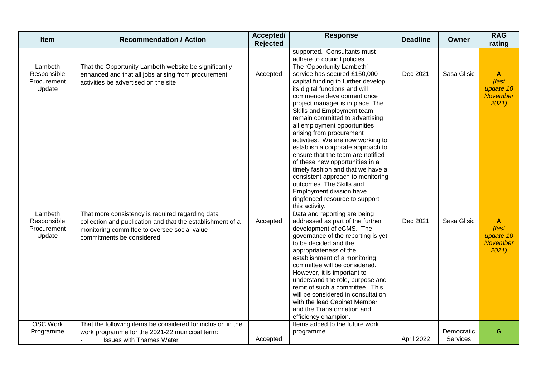| Item                                            | <b>Recommendation / Action</b>                                                                                                                                                              | Accepted/<br>Rejected | <b>Response</b>                                                                                                                                                                                                                                                                                                                                                                                                                                                                                                                                                                                                                                                                      | <b>Deadline</b> | Owner                  | <b>RAG</b><br>rating                                          |
|-------------------------------------------------|---------------------------------------------------------------------------------------------------------------------------------------------------------------------------------------------|-----------------------|--------------------------------------------------------------------------------------------------------------------------------------------------------------------------------------------------------------------------------------------------------------------------------------------------------------------------------------------------------------------------------------------------------------------------------------------------------------------------------------------------------------------------------------------------------------------------------------------------------------------------------------------------------------------------------------|-----------------|------------------------|---------------------------------------------------------------|
|                                                 |                                                                                                                                                                                             |                       | supported. Consultants must                                                                                                                                                                                                                                                                                                                                                                                                                                                                                                                                                                                                                                                          |                 |                        |                                                               |
| Lambeth<br>Responsible<br>Procurement<br>Update | That the Opportunity Lambeth website be significantly<br>enhanced and that all jobs arising from procurement<br>activities be advertised on the site                                        | Accepted              | adhere to council policies.<br>The 'Opportunity Lambeth'<br>service has secured £150,000<br>capital funding to further develop<br>its digital functions and will<br>commence development once<br>project manager is in place. The<br>Skills and Employment team<br>remain committed to advertising<br>all employment opportunities<br>arising from procurement<br>activities. We are now working to<br>establish a corporate approach to<br>ensure that the team are notified<br>of these new opportunities in a<br>timely fashion and that we have a<br>consistent approach to monitoring<br>outcomes. The Skills and<br>Employment division have<br>ringfenced resource to support | Dec 2021        | Sasa Glisic            | $\mathbf{A}$<br>(last<br>update 10<br><b>November</b><br>2021 |
| Lambeth<br>Responsible<br>Procurement<br>Update | That more consistency is required regarding data<br>collection and publication and that the establishment of a<br>monitoring committee to oversee social value<br>commitments be considered | Accepted              | this activity.<br>Data and reporting are being<br>addressed as part of the further<br>development of eCMS. The<br>governance of the reporting is yet<br>to be decided and the<br>appropriateness of the<br>establishment of a monitoring<br>committee will be considered.<br>However, it is important to<br>understand the role, purpose and<br>remit of such a committee. This<br>will be considered in consultation<br>with the lead Cabinet Member<br>and the Transformation and<br>efficiency champion.                                                                                                                                                                          | Dec 2021        | Sasa Glisic            | $\mathbf{A}$<br>(last<br>update 10<br><b>November</b><br>2021 |
| <b>OSC Work</b><br>Programme                    | That the following items be considered for inclusion in the<br>work programme for the 2021-22 municipal term:<br><b>Issues with Thames Water</b>                                            | Accepted              | Items added to the future work<br>programme.                                                                                                                                                                                                                                                                                                                                                                                                                                                                                                                                                                                                                                         | April 2022      | Democratic<br>Services | G                                                             |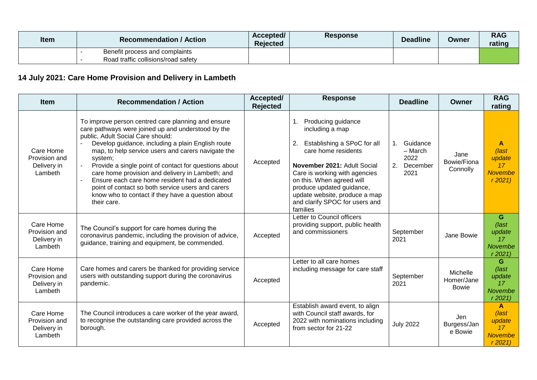| <b>Item</b> | <b>Recommendation / Action</b>      | Accepted/<br><b>Rejected</b> | <b>Response</b> | <b>Deadline</b> | Owner | <b>RAG</b><br>rating |
|-------------|-------------------------------------|------------------------------|-----------------|-----------------|-------|----------------------|
|             | Benefit process and complaints      |                              |                 |                 |       |                      |
|             | Road traffic collisions/road safety |                              |                 |                 |       |                      |

# **14 July 2021: Care Home Provision and Delivery in Lambeth**

| <b>Item</b>                                          | <b>Recommendation / Action</b>                                                                                                                                                                                                                                                                                                                                                                                                                                                                                                                              | Accepted/<br><b>Rejected</b> | <b>Response</b>                                                                                                                                                                                                                                                                                                  | <b>Deadline</b>                                             | Owner                                  | <b>RAG</b><br>rating                                          |
|------------------------------------------------------|-------------------------------------------------------------------------------------------------------------------------------------------------------------------------------------------------------------------------------------------------------------------------------------------------------------------------------------------------------------------------------------------------------------------------------------------------------------------------------------------------------------------------------------------------------------|------------------------------|------------------------------------------------------------------------------------------------------------------------------------------------------------------------------------------------------------------------------------------------------------------------------------------------------------------|-------------------------------------------------------------|----------------------------------------|---------------------------------------------------------------|
| Care Home<br>Provision and<br>Delivery in<br>Lambeth | To improve person centred care planning and ensure<br>care pathways were joined up and understood by the<br>public, Adult Social Care should:<br>Develop guidance, including a plain English route<br>map, to help service users and carers navigate the<br>system;<br>Provide a single point of contact for questions about<br>care home provision and delivery in Lambeth; and<br>Ensure each care home resident had a dedicated<br>point of contact so both service users and carers<br>know who to contact if they have a question about<br>their care. | Accepted                     | Producing guidance<br>1.<br>including a map<br>2.<br>Establishing a SPoC for all<br>care home residents<br>November 2021: Adult Social<br>Care is working with agencies<br>on this. When agreed will<br>produce updated guidance,<br>update website, produce a map<br>and clarify SPOC for users and<br>families | Guidance<br>1.<br>- March<br>2022<br>2.<br>December<br>2021 | Jane<br>Bowie/Fiona<br>Connolly        | A<br>(last<br>update<br>17<br><b>Novembe</b><br>r2021         |
| Care Home<br>Provision and<br>Delivery in<br>Lambeth | The Council's support for care homes during the<br>coronavirus pandemic, including the provision of advice,<br>guidance, training and equipment, be commended.                                                                                                                                                                                                                                                                                                                                                                                              | Accepted                     | Letter to Council officers<br>providing support, public health<br>and commissioners                                                                                                                                                                                                                              | September<br>2021                                           | Jane Bowie                             | G<br>$\sqrt{last}$<br>update<br>17<br>Novembe<br>r2021        |
| Care Home<br>Provision and<br>Delivery in<br>Lambeth | Care homes and carers be thanked for providing service<br>users with outstanding support during the coronavirus<br>pandemic.                                                                                                                                                                                                                                                                                                                                                                                                                                | Accepted                     | Letter to all care homes<br>including message for care staff                                                                                                                                                                                                                                                     | September<br>2021                                           | Michelle<br>Homer/Jane<br><b>Bowie</b> | G<br>$\sqrt{last}$<br>update<br>17<br>Novembe<br>r2021        |
| Care Home<br>Provision and<br>Delivery in<br>Lambeth | The Council introduces a care worker of the year award,<br>to recognise the outstanding care provided across the<br>borough.                                                                                                                                                                                                                                                                                                                                                                                                                                | Accepted                     | Establish award event, to align<br>with Council staff awards, for<br>2022 with nominations including<br>from sector for 21-22                                                                                                                                                                                    | <b>July 2022</b>                                            | Jen<br>Burgess/Jan<br>e Bowie          | A<br>$\sqrt{last}$<br>update<br>17<br><b>Novembe</b><br>r2021 |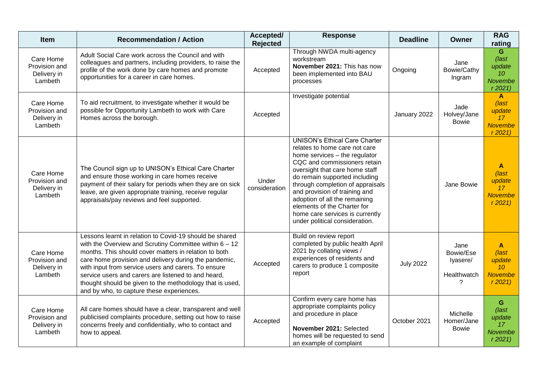| <b>Item</b>                                          | <b>Recommendation / Action</b>                                                                                                                                                                                                                                                                                                                                                                                                                               | Accepted/<br><b>Rejected</b> | <b>Response</b>                                                                                                                                                                                                                                                                                                                                                                                                     | <b>Deadline</b>  | Owner                                             | <b>RAG</b><br>rating                                                          |
|------------------------------------------------------|--------------------------------------------------------------------------------------------------------------------------------------------------------------------------------------------------------------------------------------------------------------------------------------------------------------------------------------------------------------------------------------------------------------------------------------------------------------|------------------------------|---------------------------------------------------------------------------------------------------------------------------------------------------------------------------------------------------------------------------------------------------------------------------------------------------------------------------------------------------------------------------------------------------------------------|------------------|---------------------------------------------------|-------------------------------------------------------------------------------|
| Care Home<br>Provision and<br>Delivery in<br>Lambeth | Adult Social Care work across the Council and with<br>colleagues and partners, including providers, to raise the<br>profile of the work done by care homes and promote<br>opportunities for a career in care homes.                                                                                                                                                                                                                                          | Accepted                     | Through NWDA multi-agency<br>workstream<br>November 2021: This has now<br>been implemented into BAU<br>processes                                                                                                                                                                                                                                                                                                    | Ongoing          | Jane<br>Bowie/Cathy<br>Ingram                     | G<br>$\sqrt{last}$<br>update<br>10<br>Novembe<br>r2021                        |
| Care Home<br>Provision and<br>Delivery in<br>Lambeth | To aid recruitment, to investigate whether it would be<br>possible for Opportunity Lambeth to work with Care<br>Homes across the borough.                                                                                                                                                                                                                                                                                                                    | Accepted                     | Investigate potential                                                                                                                                                                                                                                                                                                                                                                                               | January 2022     | Jade<br>Holvey/Jane<br><b>Bowie</b>               | A<br>(last<br>update<br>17 <sup>2</sup><br><b>Novembe</b><br>r2021            |
| Care Home<br>Provision and<br>Delivery in<br>Lambeth | The Council sign up to UNISON's Ethical Care Charter<br>and ensure those working in care homes receive<br>payment of their salary for periods when they are on sick<br>leave, are given appropriate training, receive regular<br>appraisals/pay reviews and feel supported.                                                                                                                                                                                  | Under<br>consideration       | <b>UNISON's Ethical Care Charter</b><br>relates to home care not care<br>home services - the regulator<br>CQC and commissioners retain<br>oversight that care home staff<br>do remain supported including<br>through completion of appraisals<br>and provision of training and<br>adoption of all the remaining<br>elements of the Charter for<br>home care services is currently<br>under political consideration. |                  | Jane Bowie                                        | A<br>(last<br>update<br>17<br><b>Novembe</b><br>r2021                         |
| Care Home<br>Provision and<br>Delivery in<br>Lambeth | Lessons learnt in relation to Covid-19 should be shared<br>with the Overview and Scrutiny Committee within $6 - 12$<br>months. This should cover matters in relation to both<br>care home provision and delivery during the pandemic,<br>with input from service users and carers. To ensure<br>service users and carers are listened to and heard,<br>thought should be given to the methodology that is used,<br>and by who, to capture these experiences. | Accepted                     | Build on review report<br>completed by public health April<br>2021 by collating views /<br>experiences of residents and<br>carers to produce 1 composite<br>report                                                                                                                                                                                                                                                  | <b>July 2022</b> | Jane<br>Bowie/Ese<br>lyasere/<br>Healthwatch<br>? | $\mathbf{A}$<br>(last<br>update<br>10 <sup>1</sup><br><b>Novembe</b><br>r2021 |
| Care Home<br>Provision and<br>Delivery in<br>Lambeth | All care homes should have a clear, transparent and well<br>publicised complaints procedure, setting out how to raise<br>concerns freely and confidentially, who to contact and<br>how to appeal.                                                                                                                                                                                                                                                            | Accepted                     | Confirm every care home has<br>appropriate complaints policy<br>and procedure in place<br>November 2021: Selected<br>homes will be requested to send<br>an example of complaint                                                                                                                                                                                                                                     | October 2021     | Michelle<br>Homer/Jane<br><b>Bowie</b>            | G<br>$\int$ ast<br>update<br>17<br><b>Novembe</b><br>r2021                    |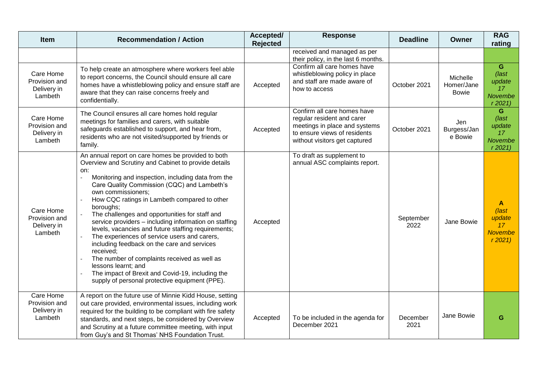| <b>Item</b>                                          | <b>Recommendation / Action</b>                                                                                                                                                                                                                                                                                                                                                                                                                                                                                                                                                                                                                                                                                                                                       | Accepted/<br><b>Rejected</b> | <b>Response</b>                                                                                                                                             | <b>Deadline</b>   | Owner                                  | <b>RAG</b><br>rating                                                              |
|------------------------------------------------------|----------------------------------------------------------------------------------------------------------------------------------------------------------------------------------------------------------------------------------------------------------------------------------------------------------------------------------------------------------------------------------------------------------------------------------------------------------------------------------------------------------------------------------------------------------------------------------------------------------------------------------------------------------------------------------------------------------------------------------------------------------------------|------------------------------|-------------------------------------------------------------------------------------------------------------------------------------------------------------|-------------------|----------------------------------------|-----------------------------------------------------------------------------------|
|                                                      |                                                                                                                                                                                                                                                                                                                                                                                                                                                                                                                                                                                                                                                                                                                                                                      |                              | received and managed as per<br>their policy, in the last 6 months.                                                                                          |                   |                                        |                                                                                   |
| Care Home<br>Provision and<br>Delivery in<br>Lambeth | To help create an atmosphere where workers feel able<br>to report concerns, the Council should ensure all care<br>homes have a whistleblowing policy and ensure staff are<br>aware that they can raise concerns freely and<br>confidentially.                                                                                                                                                                                                                                                                                                                                                                                                                                                                                                                        | Accepted                     | Confirm all care homes have<br>whistleblowing policy in place<br>and staff are made aware of<br>how to access                                               | October 2021      | Michelle<br>Homer/Jane<br><b>Bowie</b> | G<br>$\sqrt{last}$<br>update<br>17<br>Novembe<br>r2021                            |
| Care Home<br>Provision and<br>Delivery in<br>Lambeth | The Council ensures all care homes hold regular<br>meetings for families and carers, with suitable<br>safeguards established to support, and hear from,<br>residents who are not visited/supported by friends or<br>family.                                                                                                                                                                                                                                                                                                                                                                                                                                                                                                                                          | Accepted                     | Confirm all care homes have<br>regular resident and carer<br>meetings in place and systems<br>to ensure views of residents<br>without visitors get captured | October 2021      | Jen<br>Burgess/Jan<br>e Bowie          | G<br>$\int$ ast<br>update<br>17<br><b>Novembe</b><br>r2021                        |
| Care Home<br>Provision and<br>Delivery in<br>Lambeth | An annual report on care homes be provided to both<br>Overview and Scrutiny and Cabinet to provide details<br>on:<br>Monitoring and inspection, including data from the<br>Care Quality Commission (CQC) and Lambeth's<br>own commissioners;<br>How CQC ratings in Lambeth compared to other<br>boroughs;<br>The challenges and opportunities for staff and<br>service providers - including information on staffing<br>levels, vacancies and future staffing requirements;<br>The experiences of service users and carers,<br>including feedback on the care and services<br>received;<br>The number of complaints received as well as<br>lessons learnt; and<br>The impact of Brexit and Covid-19, including the<br>supply of personal protective equipment (PPE). | Accepted                     | To draft as supplement to<br>annual ASC complaints report.                                                                                                  | September<br>2022 | Jane Bowie                             | $\blacktriangle$<br>(last<br>update<br>17 <sup>2</sup><br><b>Novembe</b><br>r2021 |
| Care Home<br>Provision and<br>Delivery in<br>Lambeth | A report on the future use of Minnie Kidd House, setting<br>out care provided, environmental issues, including work<br>required for the building to be compliant with fire safety<br>standards, and next steps, be considered by Overview<br>and Scrutiny at a future committee meeting, with input<br>from Guy's and St Thomas' NHS Foundation Trust.                                                                                                                                                                                                                                                                                                                                                                                                               | Accepted                     | To be included in the agenda for<br>December 2021                                                                                                           | December<br>2021  | Jane Bowie                             | G                                                                                 |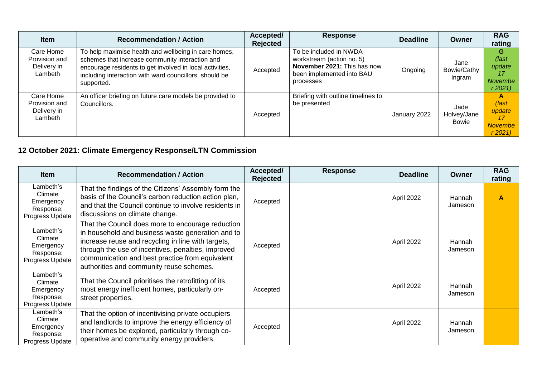| <b>Item</b>                                          | <b>Recommendation / Action</b>                                                                                                                                                                                                              | Accepted/<br><b>Rejected</b> | <b>Response</b>                                                                                                              | <b>Deadline</b> | <b>Owner</b>                  | <b>RAG</b><br>rating                                  |
|------------------------------------------------------|---------------------------------------------------------------------------------------------------------------------------------------------------------------------------------------------------------------------------------------------|------------------------------|------------------------------------------------------------------------------------------------------------------------------|-----------------|-------------------------------|-------------------------------------------------------|
| Care Home<br>Provision and<br>Delivery in<br>Lambeth | To help maximise health and wellbeing in care homes,<br>schemes that increase community interaction and<br>encourage residents to get involved in local activities,<br>including interaction with ward councillors, should be<br>supported. | Accepted                     | To be included in NWDA<br>workstream (action no. 5)<br>November 2021: This has now<br>been implemented into BAU<br>processes | Ongoing         | Jane<br>Bowie/Cathy<br>Ingram | G<br>(last<br>update<br>17<br>Novembe<br>r 2021       |
| Care Home<br>Provision and<br>Delivery in<br>Lambeth | An officer briefing on future care models be provided to<br>Councillors.                                                                                                                                                                    | Accepted                     | Briefing with outline timelines to<br>be presented                                                                           | January 2022    | Jade<br>Holvey/Jane<br>Bowie  | A<br>(last<br>update<br>17<br><b>Novembe</b><br>r2021 |

# **12 October 2021: Climate Emergency Response/LTN Commission**

| <b>Item</b>                                                       | <b>Recommendation / Action</b>                                                                                                                                                                                                                                                                                    | Accepted/<br><b>Rejected</b> | <b>Response</b> | <b>Deadline</b> | Owner                    | <b>RAG</b><br>rating |
|-------------------------------------------------------------------|-------------------------------------------------------------------------------------------------------------------------------------------------------------------------------------------------------------------------------------------------------------------------------------------------------------------|------------------------------|-----------------|-----------------|--------------------------|----------------------|
| Lambeth's<br>Climate<br>Emergency<br>Response:<br>Progress Update | That the findings of the Citizens' Assembly form the<br>basis of the Council's carbon reduction action plan,<br>and that the Council continue to involve residents in<br>discussions on climate change.                                                                                                           | Accepted                     |                 | April 2022      | <b>Hannah</b><br>Jameson | А                    |
| Lambeth's<br>Climate<br>Emergency<br>Response:<br>Progress Update | That the Council does more to encourage reduction<br>in household and business waste generation and to<br>increase reuse and recycling in line with targets,<br>through the use of incentives, penalties, improved<br>communication and best practice from equivalent<br>authorities and community reuse schemes. | Accepted                     |                 | April 2022      | <b>Hannah</b><br>Jameson |                      |
| Lambeth's<br>Climate<br>Emergency<br>Response:<br>Progress Update | That the Council prioritises the retrofitting of its<br>most energy inefficient homes, particularly on-<br>street properties.                                                                                                                                                                                     | Accepted                     |                 | April 2022      | <b>Hannah</b><br>Jameson |                      |
| Lambeth's<br>Climate<br>Emergency<br>Response:<br>Progress Update | That the option of incentivising private occupiers<br>and landlords to improve the energy efficiency of<br>their homes be explored, particularly through co-<br>operative and community energy providers.                                                                                                         | Accepted                     |                 | April 2022      | Hannah<br>Jameson        |                      |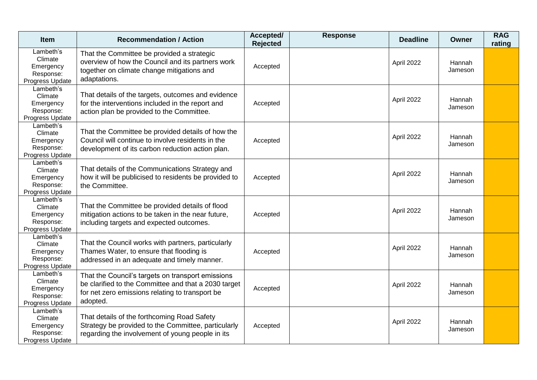| <b>Item</b>                                                       | <b>Recommendation / Action</b>                                                                                                                                           | Accepted/<br><b>Rejected</b> | <b>Response</b> | <b>Deadline</b> | Owner             | <b>RAG</b><br>rating |
|-------------------------------------------------------------------|--------------------------------------------------------------------------------------------------------------------------------------------------------------------------|------------------------------|-----------------|-----------------|-------------------|----------------------|
| Lambeth's<br>Climate<br>Emergency<br>Response:<br>Progress Update | That the Committee be provided a strategic<br>overview of how the Council and its partners work<br>together on climate change mitigations and<br>adaptations.            | Accepted                     |                 | April 2022      | Hannah<br>Jameson |                      |
| Lambeth's<br>Climate<br>Emergency<br>Response:<br>Progress Update | That details of the targets, outcomes and evidence<br>for the interventions included in the report and<br>action plan be provided to the Committee.                      | Accepted                     |                 | April 2022      | Hannah<br>Jameson |                      |
| Lambeth's<br>Climate<br>Emergency<br>Response:<br>Progress Update | That the Committee be provided details of how the<br>Council will continue to involve residents in the<br>development of its carbon reduction action plan.               | Accepted                     |                 | April 2022      | Hannah<br>Jameson |                      |
| Lambeth's<br>Climate<br>Emergency<br>Response:<br>Progress Update | That details of the Communications Strategy and<br>how it will be publicised to residents be provided to<br>the Committee.                                               | Accepted                     |                 | April 2022      | Hannah<br>Jameson |                      |
| Lambeth's<br>Climate<br>Emergency<br>Response:<br>Progress Update | That the Committee be provided details of flood<br>mitigation actions to be taken in the near future,<br>including targets and expected outcomes.                        | Accepted                     |                 | April 2022      | Hannah<br>Jameson |                      |
| Lambeth's<br>Climate<br>Emergency<br>Response:<br>Progress Update | That the Council works with partners, particularly<br>Thames Water, to ensure that flooding is<br>addressed in an adequate and timely manner.                            | Accepted                     |                 | April 2022      | Hannah<br>Jameson |                      |
| Lambeth's<br>Climate<br>Emergency<br>Response:<br>Progress Update | That the Council's targets on transport emissions<br>be clarified to the Committee and that a 2030 target<br>for net zero emissions relating to transport be<br>adopted. | Accepted                     |                 | April 2022      | Hannah<br>Jameson |                      |
| Lambeth's<br>Climate<br>Emergency<br>Response:<br>Progress Update | That details of the forthcoming Road Safety<br>Strategy be provided to the Committee, particularly<br>regarding the involvement of young people in its                   | Accepted                     |                 | April 2022      | Hannah<br>Jameson |                      |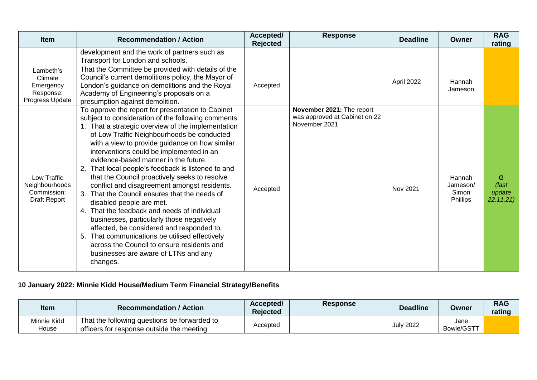| <b>Item</b>                                                       | <b>Recommendation / Action</b>                                                                                                                                                                                                                                                                                                                                                                                                                                                                                                                                                                                                                                                                                                                                                                                                                                                       | Accepted/<br><b>Rejected</b> | <b>Response</b>                                                             | <b>Deadline</b> | <b>Owner</b>                            | <b>RAG</b><br>rating              |
|-------------------------------------------------------------------|--------------------------------------------------------------------------------------------------------------------------------------------------------------------------------------------------------------------------------------------------------------------------------------------------------------------------------------------------------------------------------------------------------------------------------------------------------------------------------------------------------------------------------------------------------------------------------------------------------------------------------------------------------------------------------------------------------------------------------------------------------------------------------------------------------------------------------------------------------------------------------------|------------------------------|-----------------------------------------------------------------------------|-----------------|-----------------------------------------|-----------------------------------|
|                                                                   | development and the work of partners such as<br>Transport for London and schools.                                                                                                                                                                                                                                                                                                                                                                                                                                                                                                                                                                                                                                                                                                                                                                                                    |                              |                                                                             |                 |                                         |                                   |
| Lambeth's<br>Climate<br>Emergency<br>Response:<br>Progress Update | That the Committee be provided with details of the<br>Council's current demolitions policy, the Mayor of<br>London's guidance on demolitions and the Royal<br>Academy of Engineering's proposals on a<br>presumption against demolition.                                                                                                                                                                                                                                                                                                                                                                                                                                                                                                                                                                                                                                             | Accepted                     |                                                                             | April 2022      | Hannah<br>Jameson                       |                                   |
| Low Traffic<br>Neighbourhoods<br>Commission:<br>Draft Report      | To approve the report for presentation to Cabinet<br>subject to consideration of the following comments:<br>1. That a strategic overview of the implementation<br>of Low Traffic Neighbourhoods be conducted<br>with a view to provide guidance on how similar<br>interventions could be implemented in an<br>evidence-based manner in the future.<br>That local people's feedback is listened to and<br>that the Council proactively seeks to resolve<br>conflict and disagreement amongst residents.<br>3. That the Council ensures that the needs of<br>disabled people are met.<br>4. That the feedback and needs of individual<br>businesses, particularly those negatively<br>affected, be considered and responded to.<br>That communications be utilised effectively<br>5.<br>across the Council to ensure residents and<br>businesses are aware of LTNs and any<br>changes. | Accepted                     | November 2021: The report<br>was approved at Cabinet on 22<br>November 2021 | Nov 2021        | Hannah<br>Jameson/<br>Simon<br>Phillips | G<br>(last<br>update<br>22.11.21) |

# **10 January 2022: Minnie Kidd House/Medium Term Financial Strategy/Benefits**

| Item                 | <b>Recommendation / Action</b>                                                             | Accepted/<br><b>Rejected</b> | <b>Response</b> | <b>Deadline</b>  | Owner              | <b>RAG</b><br>rating |
|----------------------|--------------------------------------------------------------------------------------------|------------------------------|-----------------|------------------|--------------------|----------------------|
| Minnie Kidd<br>House | That the following questions be forwarded to<br>officers for response outside the meeting: | Accepted                     |                 | <b>July 2022</b> | Jane<br>Bowie/GSTT |                      |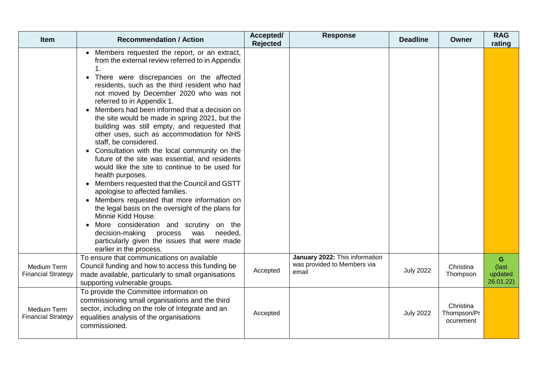| <b>Item</b>                              | <b>Recommendation / Action</b>                                                                                                                                                                                                                                                                                                                                                                                                                                                                                                                                                                                                                                                                                                                                                                                                                                                                                                                                                                                                                                          | Accepted/<br><b>Rejected</b> | <b>Response</b>                                                        | <b>Deadline</b>  | Owner                                 | <b>RAG</b><br>rating               |
|------------------------------------------|-------------------------------------------------------------------------------------------------------------------------------------------------------------------------------------------------------------------------------------------------------------------------------------------------------------------------------------------------------------------------------------------------------------------------------------------------------------------------------------------------------------------------------------------------------------------------------------------------------------------------------------------------------------------------------------------------------------------------------------------------------------------------------------------------------------------------------------------------------------------------------------------------------------------------------------------------------------------------------------------------------------------------------------------------------------------------|------------------------------|------------------------------------------------------------------------|------------------|---------------------------------------|------------------------------------|
|                                          | Members requested the report, or an extract,<br>from the external review referred to in Appendix<br>There were discrepancies on the affected<br>$\bullet$<br>residents, such as the third resident who had<br>not moved by December 2020 who was not<br>referred to in Appendix 1.<br>Members had been informed that a decision on<br>the site would be made in spring 2021, but the<br>building was still empty, and requested that<br>other uses, such as accommodation for NHS<br>staff, be considered.<br>• Consultation with the local community on the<br>future of the site was essential, and residents<br>would like the site to continue to be used for<br>health purposes.<br>Members requested that the Council and GSTT<br>apologise to affected families.<br>• Members requested that more information on<br>the legal basis on the oversight of the plans for<br>Minnie Kidd House.<br>More consideration and scrutiny on the<br>decision-making<br>needed,<br>process<br>was<br>particularly given the issues that were made<br>earlier in the process. |                              |                                                                        |                  |                                       |                                    |
| Medium Term<br><b>Financial Strategy</b> | To ensure that communications on available<br>Council funding and how to access this funding be<br>made available, particularly to small organisations<br>supporting vulnerable groups.                                                                                                                                                                                                                                                                                                                                                                                                                                                                                                                                                                                                                                                                                                                                                                                                                                                                                 | Accepted                     | January 2022: This information<br>was provided to Members via<br>email | <b>July 2022</b> | Christina<br>Thompson                 | G<br>(last<br>updated<br>26.01.22) |
| Medium Term<br><b>Financial Strategy</b> | To provide the Committee information on<br>commissioning small organisations and the third<br>sector, including on the role of Integrate and an<br>equalities analysis of the organisations<br>commissioned.                                                                                                                                                                                                                                                                                                                                                                                                                                                                                                                                                                                                                                                                                                                                                                                                                                                            | Accepted                     |                                                                        | <b>July 2022</b> | Christina<br>Thompson/Pr<br>ocurement |                                    |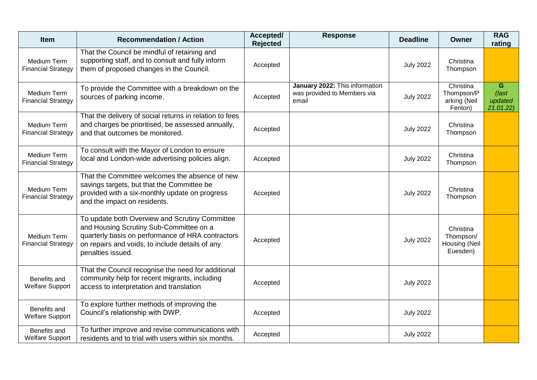| <b>Item</b>                                     | <b>Recommendation / Action</b>                                                                                                                                                                                         | Accepted/<br><b>Rejected</b> | <b>Response</b>                                                        | <b>Deadline</b>  | <b>Owner</b>                                        | <b>RAG</b><br>rating                       |
|-------------------------------------------------|------------------------------------------------------------------------------------------------------------------------------------------------------------------------------------------------------------------------|------------------------------|------------------------------------------------------------------------|------------------|-----------------------------------------------------|--------------------------------------------|
| Medium Term<br><b>Financial Strategy</b>        | That the Council be mindful of retaining and<br>supporting staff, and to consult and fully inform<br>them of proposed changes in the Council.                                                                          | Accepted                     |                                                                        | <b>July 2022</b> | Christina<br>Thompson                               |                                            |
| Medium Term<br><b>Financial Strategy</b>        | To provide the Committee with a breakdown on the<br>sources of parking income.                                                                                                                                         | Accepted                     | January 2022: This information<br>was provided to Members via<br>email | <b>July 2022</b> | Christina<br>Thompson/P<br>arking (Neil<br>Fenton)  | G<br>$\sqrt{last}$<br>updated<br>21.01.22) |
| Medium Term<br><b>Financial Strategy</b>        | That the delivery of social returns in relation to fees<br>and charges be prioritised, be assessed annually,<br>and that outcomes be monitored.                                                                        | Accepted                     |                                                                        | <b>July 2022</b> | Christina<br>Thompson                               |                                            |
| Medium Term<br><b>Financial Strategy</b>        | To consult with the Mayor of London to ensure<br>local and London-wide advertising policies align.                                                                                                                     | Accepted                     |                                                                        | <b>July 2022</b> | Christina<br>Thompson                               |                                            |
| Medium Term<br><b>Financial Strategy</b>        | That the Committee welcomes the absence of new<br>savings targets, but that the Committee be<br>provided with a six-monthly update on progress<br>and the impact on residents.                                         | Accepted                     |                                                                        | <b>July 2022</b> | Christina<br>Thompson                               |                                            |
| <b>Medium Term</b><br><b>Financial Strategy</b> | To update both Overview and Scrutiny Committee<br>and Housing Scrutiny Sub-Committee on a<br>quarterly basis on performance of HRA contractors<br>on repairs and voids, to include details of any<br>penalties issued. | Accepted                     |                                                                        | <b>July 2022</b> | Christina<br>Thompson/<br>Housing (Neil<br>Euesden) |                                            |
| Benefits and<br><b>Welfare Support</b>          | That the Council recognise the need for additional<br>community help for recent migrants, including<br>access to interpretation and translation                                                                        | Accepted                     |                                                                        | <b>July 2022</b> |                                                     |                                            |
| Benefits and<br><b>Welfare Support</b>          | To explore further methods of improving the<br>Council's relationship with DWP.                                                                                                                                        | Accepted                     |                                                                        | <b>July 2022</b> |                                                     |                                            |
| Benefits and<br><b>Welfare Support</b>          | To further improve and revise communications with<br>residents and to trial with users within six months.                                                                                                              | Accepted                     |                                                                        | <b>July 2022</b> |                                                     |                                            |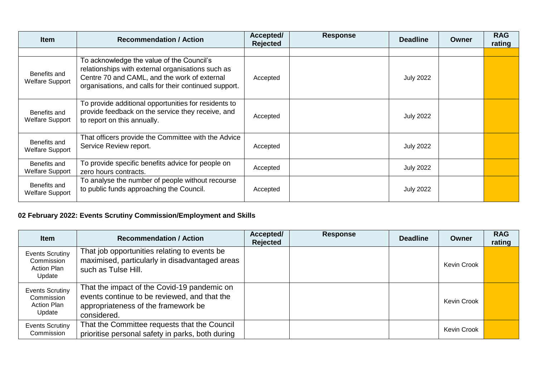| <b>Item</b>                            | <b>Recommendation / Action</b>                                                                                                                                                                          | Accepted/<br><b>Rejected</b> | <b>Response</b> | <b>Deadline</b>  | Owner | <b>RAG</b><br>rating |
|----------------------------------------|---------------------------------------------------------------------------------------------------------------------------------------------------------------------------------------------------------|------------------------------|-----------------|------------------|-------|----------------------|
|                                        |                                                                                                                                                                                                         |                              |                 |                  |       |                      |
| Benefits and<br><b>Welfare Support</b> | To acknowledge the value of the Council's<br>relationships with external organisations such as<br>Centre 70 and CAML, and the work of external<br>organisations, and calls for their continued support. | Accepted                     |                 | <b>July 2022</b> |       |                      |
| Benefits and<br><b>Welfare Support</b> | To provide additional opportunities for residents to<br>provide feedback on the service they receive, and<br>to report on this annually.                                                                | Accepted                     |                 | <b>July 2022</b> |       |                      |
| Benefits and<br><b>Welfare Support</b> | That officers provide the Committee with the Advice<br>Service Review report.                                                                                                                           | Accepted                     |                 | <b>July 2022</b> |       |                      |
| Benefits and<br><b>Welfare Support</b> | To provide specific benefits advice for people on<br>zero hours contracts.                                                                                                                              | Accepted                     |                 | <b>July 2022</b> |       |                      |
| Benefits and<br><b>Welfare Support</b> | To analyse the number of people without recourse<br>to public funds approaching the Council.                                                                                                            | Accepted                     |                 | <b>July 2022</b> |       |                      |

### **02 February 2022: Events Scrutiny Commission/Employment and Skills**

| <b>Item</b>                                                          | <b>Recommendation / Action</b>                                                                                                                    | Accepted/<br>Rejected | <b>Response</b> | <b>Deadline</b> | Owner              | <b>RAG</b><br>rating |
|----------------------------------------------------------------------|---------------------------------------------------------------------------------------------------------------------------------------------------|-----------------------|-----------------|-----------------|--------------------|----------------------|
| <b>Events Scrutiny</b><br>Commission<br><b>Action Plan</b><br>Update | That job opportunities relating to events be<br>maximised, particularly in disadvantaged areas<br>such as Tulse Hill.                             |                       |                 |                 | <b>Kevin Crook</b> |                      |
| <b>Events Scrutiny</b><br>Commission<br><b>Action Plan</b><br>Update | That the impact of the Covid-19 pandemic on<br>events continue to be reviewed, and that the<br>appropriateness of the framework be<br>considered. |                       |                 |                 | Kevin Crook        |                      |
| <b>Events Scrutiny</b><br>Commission                                 | That the Committee requests that the Council<br>prioritise personal safety in parks, both during                                                  |                       |                 |                 | Kevin Crook        |                      |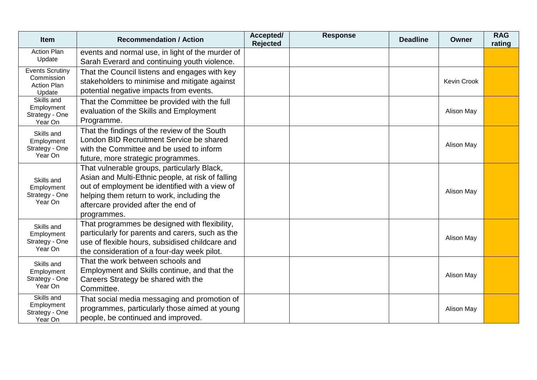| Item                                                                 | <b>Recommendation / Action</b>                                                                                                                                                                                                                         | Accepted/<br><b>Rejected</b> | <b>Response</b> | <b>Deadline</b> | Owner       | <b>RAG</b><br>rating |
|----------------------------------------------------------------------|--------------------------------------------------------------------------------------------------------------------------------------------------------------------------------------------------------------------------------------------------------|------------------------------|-----------------|-----------------|-------------|----------------------|
| <b>Action Plan</b><br>Update                                         | events and normal use, in light of the murder of<br>Sarah Everard and continuing youth violence.                                                                                                                                                       |                              |                 |                 |             |                      |
| <b>Events Scrutiny</b><br>Commission<br><b>Action Plan</b><br>Update | That the Council listens and engages with key<br>stakeholders to minimise and mitigate against<br>potential negative impacts from events.                                                                                                              |                              |                 |                 | Kevin Crook |                      |
| Skills and<br>Employment<br>Strategy - One<br>Year On                | That the Committee be provided with the full<br>evaluation of the Skills and Employment<br>Programme.                                                                                                                                                  |                              |                 |                 | Alison May  |                      |
| Skills and<br>Employment<br>Strategy - One<br>Year On                | That the findings of the review of the South<br>London BID Recruitment Service be shared<br>with the Committee and be used to inform<br>future, more strategic programmes.                                                                             |                              |                 |                 | Alison May  |                      |
| Skills and<br>Employment<br>Strategy - One<br>Year On                | That vulnerable groups, particularly Black,<br>Asian and Multi-Ethnic people, at risk of falling<br>out of employment be identified with a view of<br>helping them return to work, including the<br>aftercare provided after the end of<br>programmes. |                              |                 |                 | Alison May  |                      |
| Skills and<br>Employment<br>Strategy - One<br>Year On                | That programmes be designed with flexibility,<br>particularly for parents and carers, such as the<br>use of flexible hours, subsidised childcare and<br>the consideration of a four-day week pilot.                                                    |                              |                 |                 | Alison May  |                      |
| Skills and<br>Employment<br>Strategy - One<br>Year On                | That the work between schools and<br>Employment and Skills continue, and that the<br>Careers Strategy be shared with the<br>Committee.                                                                                                                 |                              |                 |                 | Alison May  |                      |
| Skills and<br>Employment<br>Strategy - One<br>Year On                | That social media messaging and promotion of<br>programmes, particularly those aimed at young<br>people, be continued and improved.                                                                                                                    |                              |                 |                 | Alison May  |                      |